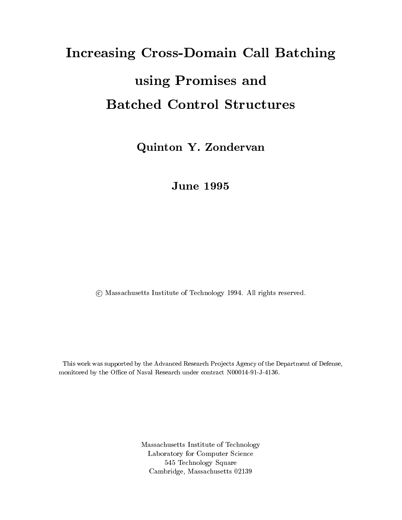# Increasing Cross-Domain CallBatching using Promises and

Quinton Y. Zondervan

June <sup>1995</sup>

<sup>c</sup> Massachusetts Institute of Technology 1994. All rights reserved.

This work was supported by the Advanced Research Projects Agency of the Department of Defense, monitored by the Office of Naval Research under contract N00014-91-J-4136.

> Massachusetts Institute of Technology Laboratory for Computer Science 545 Technology Square Cambridge, Massachusetts 02139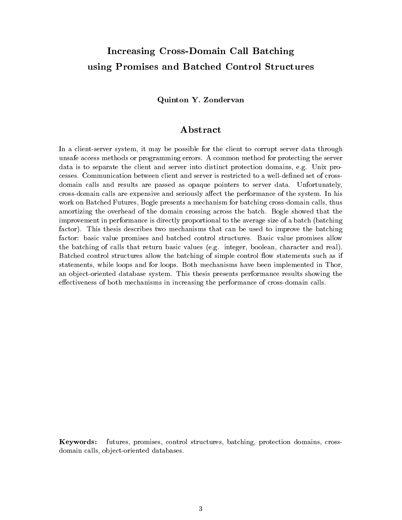# Increasing Cross-Domain Call Batching using Promises and Batched Control Structures

### Quinton Y. Zondervan

### Abstract

In a client-server system, it may be possible for the client to corrupt server data through unsafe access methods or programming errors. A common method for protecting the server data is to separate the client and server into distinct protection domains, e.g. Unix processes. Communication between client and server is restricted to a well-defined set of crossdomain calls and results are passed as opaque pointers to server data. Unfortunately, cross-domain calls are expensive and seriously affect the performance of the system. In his work on Batched Futures, Bogle presents a mechanism for batching cross-domain calls, thus amortizing the overhead of the domain crossing across the batch. Bogle showed that the improvement in performance is directly proportional to the average size of a batch (batching factor). This thesis describes two mechanisms that can be used to improve the batching factor: basic value promises and batched control structures. Basic value promises allow the batching of calls that return basic values (e.g. integer, boolean, character and real). Batched control structures allow the batching of simple control flow statements such as if statements, while loops and for loops. Both mechanisms have been implemented in Thor, an ob ject-oriented database system. This thesis presents performance results showing the effectiveness of both mechanisms in increasing the performance of cross-domain calls.

Keywords: futures, promises, control structures, batching, protection domains, crossdomain calls, object-oriented databases.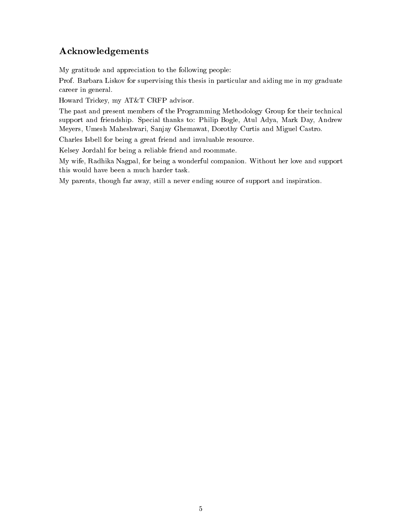### Acknowledgements

My gratitude and appreciation to the following people:

Prof. Barbara Liskov for supervising this thesis in particular and aiding me in my graduate career in general.

Howard Trickey, my AT&T CRFP advisor.

The past and present members of the Programming Methodology Group for their technical support and friendship. Special thanks to: Philip Bogle, Atul Adya, Mark Day, Andrew Meyers, Umesh Maheshwari, Sanjay Ghemawat, Dorothy Curtis and Miguel Castro.

Charles Isbell for being a great friend and invaluable resource.

Kelsey Jordahl for being a reliable friend and roommate.

My wife, Radhika Nagpal, for being a wonderful companion. Without her love and support this would have been a much harder task.

My parents, though far away, still a never ending source of support and inspiration.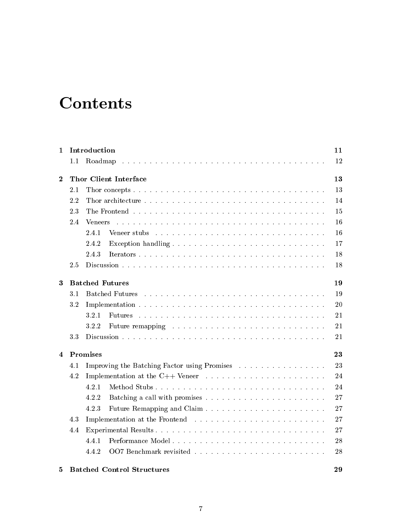# **Contents**

| 1                |                                                                                                                                              | Introduction                                                                                                                                 | 11 |  |  |
|------------------|----------------------------------------------------------------------------------------------------------------------------------------------|----------------------------------------------------------------------------------------------------------------------------------------------|----|--|--|
|                  | 1.1                                                                                                                                          | Roadmap                                                                                                                                      | 12 |  |  |
| $\bf{2}$         |                                                                                                                                              | Thor Client Interface                                                                                                                        | 13 |  |  |
|                  | 2.1                                                                                                                                          |                                                                                                                                              | 13 |  |  |
|                  | 2.2                                                                                                                                          |                                                                                                                                              | 14 |  |  |
|                  | 2.3                                                                                                                                          |                                                                                                                                              | 15 |  |  |
|                  | 2.4                                                                                                                                          | <b>Veneers</b><br>a constitution de la constitution de la constitution de la constitution de la constitution de la constitution              | 16 |  |  |
|                  |                                                                                                                                              | 2.4.1<br>Veneer stubs<br>والمتعاون والمتعاون والمتعاون والمتعاون والمتعاونة والمتعاونة والمتعاونة والمتعاونة والمتعاونة والمتعاونة والمتعاون | 16 |  |  |
|                  |                                                                                                                                              | 2.4.2                                                                                                                                        | 17 |  |  |
|                  |                                                                                                                                              | 2.4.3                                                                                                                                        | 18 |  |  |
|                  | 2.5                                                                                                                                          |                                                                                                                                              | 18 |  |  |
| 3                |                                                                                                                                              | <b>Batched Futures</b>                                                                                                                       | 19 |  |  |
|                  | 3.1<br><b>Batched Futures</b><br>والمتواط والمتواط والمتواط والمتواط والمتواط والمتواط والمتواط والمتواط والمتواط والمتواط والمتواط والمتواط |                                                                                                                                              |    |  |  |
|                  | 3.2                                                                                                                                          |                                                                                                                                              |    |  |  |
|                  |                                                                                                                                              | 3.2.1<br>Futures                                                                                                                             | 21 |  |  |
|                  |                                                                                                                                              | 3.2.2                                                                                                                                        | 21 |  |  |
|                  | 3.3                                                                                                                                          |                                                                                                                                              | 21 |  |  |
| $\boldsymbol{4}$ |                                                                                                                                              | Promises                                                                                                                                     | 23 |  |  |
|                  | 4.1                                                                                                                                          | Improving the Batching Factor using Promises                                                                                                 | 23 |  |  |
|                  | 4.2<br>Implementation at the C++ Veneer $\dots \dots \dots \dots \dots \dots \dots \dots \dots$                                              |                                                                                                                                              |    |  |  |
|                  |                                                                                                                                              | 4.2.1<br>Method Stubs                                                                                                                        | 24 |  |  |
|                  |                                                                                                                                              | 4.2.2                                                                                                                                        | 27 |  |  |
|                  |                                                                                                                                              | 4.2.3                                                                                                                                        | 27 |  |  |
|                  | 4.3                                                                                                                                          |                                                                                                                                              | 27 |  |  |
|                  | 4.4                                                                                                                                          | Experimental Results                                                                                                                         | 27 |  |  |
|                  |                                                                                                                                              | 4.4.1<br>Performance Model                                                                                                                   | 28 |  |  |
|                  |                                                                                                                                              | 4.4.2                                                                                                                                        | 28 |  |  |
| 5                |                                                                                                                                              | <b>Batched Control Structures</b>                                                                                                            | 29 |  |  |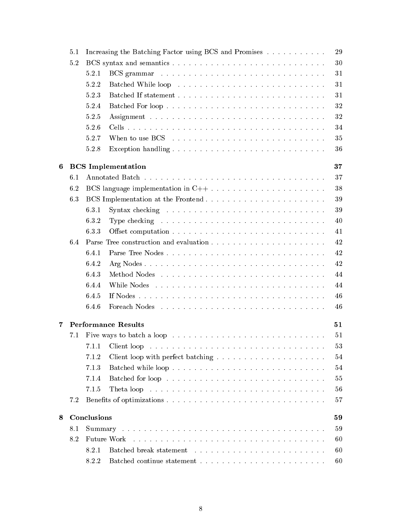|                  | 5.1 |             | Increasing the Batching Factor using BCS and Promises                                   |
|------------------|-----|-------------|-----------------------------------------------------------------------------------------|
|                  | 5.2 |             |                                                                                         |
|                  |     | 5.2.1       |                                                                                         |
|                  |     | 5.2.2       |                                                                                         |
|                  |     | 5.2.3       |                                                                                         |
|                  |     | 5.2.4       | Batched For loop                                                                        |
|                  |     | 5.2.5       |                                                                                         |
|                  |     | 5.2.6       |                                                                                         |
|                  |     | 5.2.7       |                                                                                         |
|                  |     | 5.2.8       |                                                                                         |
| $\boldsymbol{6}$ |     |             | <b>BCS</b> Implementation                                                               |
|                  | 6.1 |             |                                                                                         |
|                  | 6.2 |             | BCS language implementation in $C++ \ldots \ldots \ldots \ldots \ldots \ldots \ldots$   |
|                  | 6.3 |             |                                                                                         |
|                  |     | 6.3.1       | Syntax checking $\ldots \ldots \ldots \ldots \ldots \ldots \ldots \ldots \ldots \ldots$ |
|                  |     | 6.3.2       | Type checking $\ldots \ldots \ldots \ldots \ldots \ldots \ldots \ldots \ldots \ldots$   |
|                  |     | 6.3.3       |                                                                                         |
|                  | 6.4 |             |                                                                                         |
|                  |     | 6.4.1       |                                                                                         |
|                  |     | 6.4.2       |                                                                                         |
|                  |     | 6.4.3       |                                                                                         |
|                  |     | 6.4.4       |                                                                                         |
|                  |     | 6.4.5       |                                                                                         |
|                  |     | 6.4.6       |                                                                                         |
|                  |     |             |                                                                                         |
| 7                |     |             | <b>Performance Results</b>                                                              |
|                  | 7.1 |             |                                                                                         |
|                  |     | 7.1.1       |                                                                                         |
|                  |     | 7.1.2       |                                                                                         |
|                  |     | 7.1.3       |                                                                                         |
|                  |     | 7.1.4       |                                                                                         |
|                  |     | 7.1.5       |                                                                                         |
|                  | 7.2 |             |                                                                                         |
| 8                |     | Conclusions |                                                                                         |
|                  | 8.1 |             |                                                                                         |
|                  | 8.2 |             | Future Work                                                                             |
|                  |     | 8.2.1       |                                                                                         |
|                  |     | 8.2.2       |                                                                                         |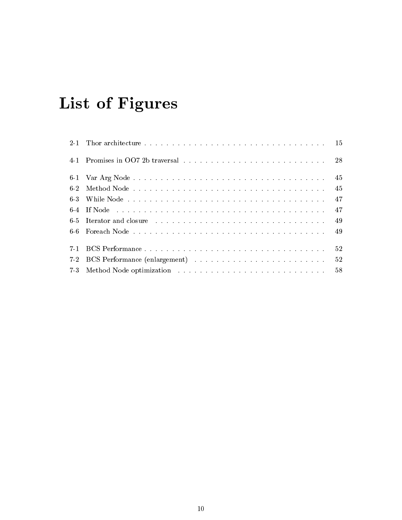# List of Figures

|            |                                                                                                                                                                                                                                | -45 |
|------------|--------------------------------------------------------------------------------------------------------------------------------------------------------------------------------------------------------------------------------|-----|
| $6\cdot 2$ |                                                                                                                                                                                                                                | -45 |
| $6-3$      |                                                                                                                                                                                                                                | -47 |
|            |                                                                                                                                                                                                                                | 47  |
|            | 6-5 Iterator and closure enterprised in the set of the set of the set of the set of the set of the set of the set of the set of the set of the set of the set of the set of the set of the set of the set of the set of the se | -49 |
|            |                                                                                                                                                                                                                                | -49 |
| $7-1$      |                                                                                                                                                                                                                                | 52  |
| $7-2$      |                                                                                                                                                                                                                                | -52 |
|            |                                                                                                                                                                                                                                | .58 |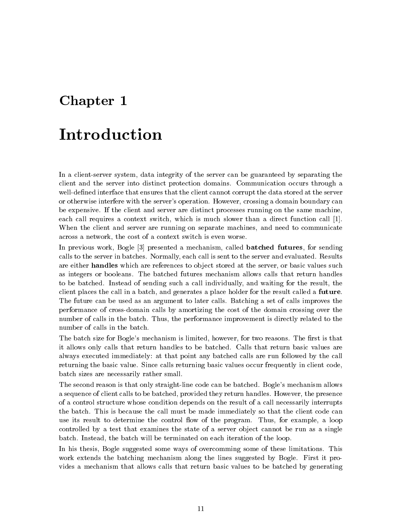# Chapter <sup>1</sup>

# Introduction

In a client-server system, data integrity of the server can be guaranteed by separating the client and the server into distinct protection domains. Communication occurs through a well-defined interface that ensures that the client cannot corrupt the data stored at the server or otherwise interfere with the server's operation. However, crossing a domain boundary can be expensive. If the client and server are distinct processes running on the same machine, each call requires a context switch, which is much slower than a direct function call [1]. When the client and server are running on separate machines, and need to communicate across a network, the cost of a context switch is even worse.

In previous work, Bogle [3] presented a mechanism, called **batched futures**, for sending calls to the server in batches. Normally, each call is sent to the server and evaluated. Results are either **handles** which are references to object stored at the server, or basic values such as integers or booleans. The batched futures mechanism allows calls that return handles to be batched. Instead of sending such a call individually, and waiting for the result, the client places the call in a batch, and generates a place holder for the result called a future. The future can be used as an argument to later calls. Batching a set of calls improves the performance of cross-domain calls by amortizing the cost of the domain crossing over the number of calls in the batch. Thus, the performance improvement is directly related to the number of calls in the batch.

The batch size for Bogle's mechanism is limited, however, for two reasons. The first is that it allows only calls that return handles to be batched. Calls that return basic values are always executed immediately: at that point any batched calls are run followed by the call returning the basic value. Since calls returning basic values occur frequently in client code, batch sizes are necessarily rather small.

The second reason is that only straight-line code can be batched. Bogle's mechanism allows a sequence of client calls to be batched, provided they return handles. However, the presence of a control structure whose condition depends on the result of a call necessarily interrupts the batch. This is because the call must be made immediately so that the client code can use its result to determine the control flow of the program. Thus, for example, a loop controlled by a test that examines the state of a server object cannot be run as a single batch. Instead, the batch will be terminated on each iteration of the loop.

In his thesis, Bogle suggested some ways of overcomming some of these limitations. This work extends the batching mechanism along the lines suggested by Bogle. First it provides a mechanism that allows calls that return basic values to be batched by generating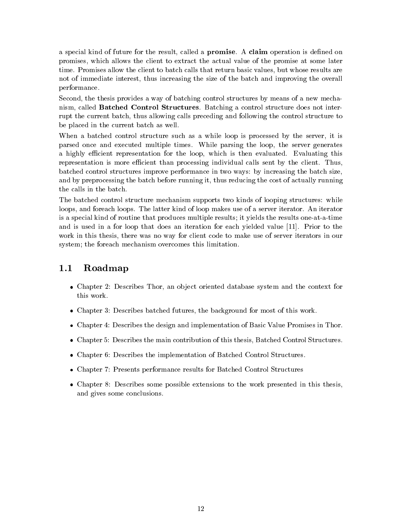a special kind of future for the result, called a **promise**. A **claim** operation is defined on promises, which allows the client to extract the actual value of the promise at some later time. Promises allow the client to batch calls that return basic values, but whose results are not of immediate interest, thus increasing the size of the batch and improving the overall performance.

Second, the thesis provides a way of batching control structures by means of a new mechanism, called Batched Control Structures. Batching a control structure does not interrupt the current batch, thus allowing calls preceding and following the control structure to be placed in the current batch as well.

When a batched control structure such as a while loop is processed by the server, it is parsed once and executed multiple times. While parsing the loop, the server generates a highly efficient representation for the loop, which is then evaluated. Evaluating this representation is more efficient than processing individual calls sent by the client. Thus, batched control structures improve performance in two ways: by increasing the batch size, and by preprocessing the batch before running it, thus reducing the cost of actually running the calls in the batch.

The batched control structure mechanism supports two kinds of looping structures: while loops, and foreach loops. The latter kind of loop makes use of a server iterator. An iterator is a special kind of routine that produces multiple results; it yields the results one-at-a-time and is used in a for loop that does an iteration for each yielded value [11]. Prior to the work in this thesis, there was no way for client code to make use of server iterators in our system; the foreach mechanism overcomes this limitation.

### 1.1 Roadmap

- Chapter 2: Describes Thor, an object oriented database system and the context for this work.
- Chapter 3: Describes batched futures, the background for most of this work.
- Chapter 4: Describes the design and implementation of Basic Value Promises in Thor.
- Chapter 5: Describes the main contribution of this thesis, Batched Control Structures.
- Chapter 6: Describes the implementation of Batched Control Structures.
- Chapter 7: Presents performance results for Batched Control Structures
- Chapter 8: Describes some possible extensions to the work presented in this thesis, and gives some conclusions.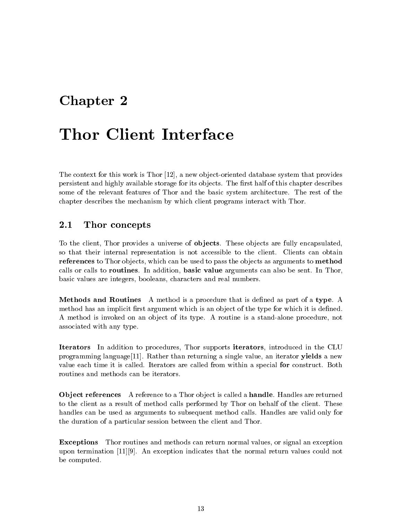# Chapter <sup>2</sup>

The context for this work is Thor  $[12]$ , a new object-oriented database system that provides persistent and highly available storage for its objects. The first half of this chapter describes some of the relevant features of Thor and the basic system architecture. The rest of the chapter describes the mechanism by which client programs interact with Thor.

#### $2.1$ Thor concepts

To the client, Thor provides a universe of ob jects. These ob jects are fully encapsulated, so that their internal representation is not accessible to the client. Clients can obtain references to Thor objects, which can be used to pass the objects as arguments to method calls or calls to routines. In addition, basic value arguments can also be sent. In Thor, basic values are integers, booleans, characters and real numbers.

Methods and Routines A method is a procedure that is defined as part of a type. A method has an implicit first argument which is an object of the type for which it is defined. A method is invoked on an object of its type. A routine is a stand-alone procedure, not associated with any type.

Iterators In addition to procedures, Thor supports iterators, introduced in the CLU programming language [11]. Rather than returning a single value, an iterator **yields** a new value each time it is called. Iterators are called from within a special for construct. Both routines and methods can be iterators.

**Object references** A reference to a Thor object is called a **handle**. Handles are returned to the client as a result of method calls performed by Thor on behalf of the client. These handles can be used as arguments to subsequent method calls. Handles are valid only for the duration of a particular session between the client and Thor.

Exceptions Thor routines and methods can return normal values, or signal an exception upon termination [11][9]. An exception indicates that the normal return values could not be computed.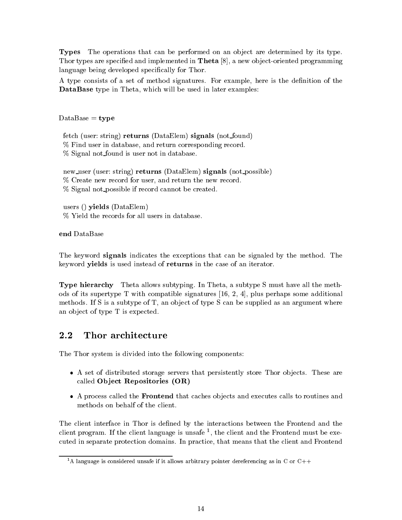Types The operations that can be performed on an object are determined by its type. Thor types are specified and implemented in **Theta**  $[8]$ , a new object-oriented programming language being developed specifically for Thor.

A type consists of a set of method signatures. For example, here is the definition of the DataBase type in Theta, which will be used in later examples:

 $Database = type$ 

fetch (user: string) returns (DataElem) signals (not found) % Find user in database, and return corresponding record. % Signal not found is user not in database.

new user (user: string) returns (DataElem) signals (not possible) % Create new record for user, and return the new record. % Signal not possible if record cannot be created.

users () yields (DataElem) % Yield the records for all users in database.

end DataBase

The keyword signals indicates the exceptions that can be signaled by the method. The keyword yields is used instead of returns in the case of an iterator.

Type hierarchy Theta allows subtyping. In Theta, a subtype S must have all the methods of its supertype T with compatible signatures [16, 2, 4], plus perhaps some additional methods. If S is a subtype of  $T$ , an object of type S can be supplied as an argument where an object of type T is expected.

#### $2.2$ Thor architecture

The Thor system is divided into the following components:

- $\bullet$  A set of distributed storage servers that persistently store Thor objects. These are called Ob ject Repositories (OR)
- A process called the Frontend that caches ob jects and executes calls to routines and methods on behalf of the client.

The client interface in Thor is defined by the interactions between the Frontend and the chent program. It the chent language is unsafe  $\gamma$ , the chent and the Frontend must be executed in separate protection domains. In practice, that means that the client and Frontend

<sup>&</sup>lt;sup>1</sup>A language is considered unsafe if it allows arbitrary pointer dereferencing as in C or C++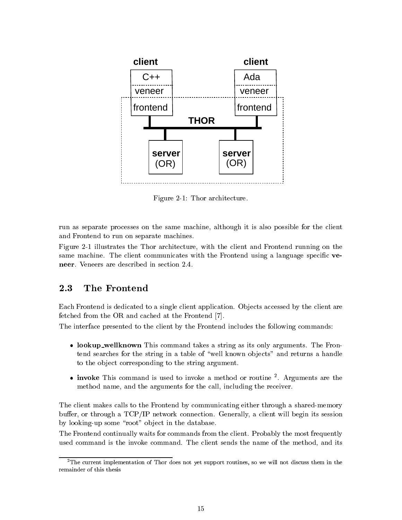

Figure 2-1: Thor architecture.

run as separate processes on the same machine, although it is also possible for the client and Frontend to run on separate machines.

Figure 2-1 illustrates the Thor architecture, with the client and Frontend running on the same machine. The client communicates with the Frontend using a language specific veneer. Veneers are described in section 2.4.

### 2.3 The Frontend

Each Frontend is dedicated to a single client application. Objects accessed by the client are fetched from the OR and cached at the Frontend [7].

The interface presented to the client by the Frontend includes the following commands:

- lookup\_wellknown This command takes a string as its only arguments. The Frontend searches for the string in a table of "well known objects" and returns a handle to the object corresponding to the string argument.
- $\bullet$  invoke This command is used to invoke a method or routine  $\overline{\ }$ . Arguments are the method name, and the arguments for the call, including the receiver.

The client makes calls to the Frontend by communicating either through a shared-memory buffer, or through a  $TCP/IP$  network connection. Generally, a client will begin its session by looking-up some "root" object in the database.

The Frontend continually waits for commands from the client. Probably the most frequently used command is the invoke command. The client sends the name of the method, and its

 $2$ The current implementation of Thor does not yet support routines, so we will not discuss them in the remainder of this thesis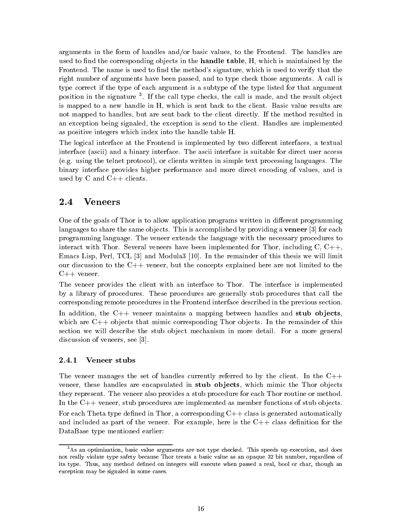arguments in the form of handles and/or basic values, to the Frontend. The handles are used to find the corresponding objects in the **handle table**, H, which is maintained by the Frontend. The name is used to find the method's signature, which is used to verify that the right number of arguments have been passed, and to type check those arguments. A call is type correct if the type of each argument is a subtype of the type listed for that argument position in the signature t. If the call type checks, the call is made, and the result object is mapped to a new handle in H, which is sent back to the client. Basic value results are not mapped to handles, but are sent back to the client directly. If the method resulted in an exception being signaled, the exception is send to the client. Handles are implemented as positive integers which index into the handle table H.

The logical interface at the Frontend is implemented by two different interfaces, a textual interface (ascii) and a binary interface. The ascii interface is suitable for direct user access (e.g. using the telnet protocol), or clients written in simple text processing languages. The binary interface provides higher performance and more direct encoding of values, and is used by C and  $C_{++}$  clients.

#### $2.4$ **Veneers**

One of the goals of Thor is to allow application programs written in different programming languages to share the same objects. This is accomplished by providing a **veneer** [3] for each programming language. The veneer extends the language with the necessary procedures to interact with Thor. Several veneers have been implemented for Thor, including  $C, C++,$ Emacs Lisp, Perl, TCL [3] and Modula3 [10]. In the remainder of this thesis we will limit our discussion to the  $C++$  veneer, but the concepts explained here are not limited to the  $C++$  veneer.

The veneer provides the client with an interface to Thor. The interface is implemented by a library of procedures. These procedures are generally stub procedures that call the corresponding remote procedures in the Frontend interface described in the previous section.

In addition, the  $C++$  veneer maintains a mapping between handles and stub objects, which are  $C_{++}$  objects that mimic corresponding Thor objects. In the remainder of this section we will describe the stub object mechanism in more detail. For a more general discussion of veneers, see [3].

#### $2.4.1$ Veneer stubs

The veneer manages the set of handles currently referred to by the client. In the  $C++$ veneer, these handles are encapsulated in **stub objects**, which mimic the Thor objects they represent. The veneer also provides a stub procedure for each Thor routine or method. In the  $C++$  veneer, stub procedures are implemented as member functions of stub objects. For each Theta type defined in Thor, a corresponding  $C_{++}$  class is generated automatically and included as part of the veneer. For example, here is the  $C++$  class definition for the DataBase type mentioned earlier:

 $3$ As an optimization, basic value arguments are not type checked. This speeds up execution, and does not really violate type safety because Thor treats a basic value as an opaque 32 bit number, regardless of its type. Thus, any method defined on integers will execute when passed a real, bool or char, though an exception may be signaled in some cases.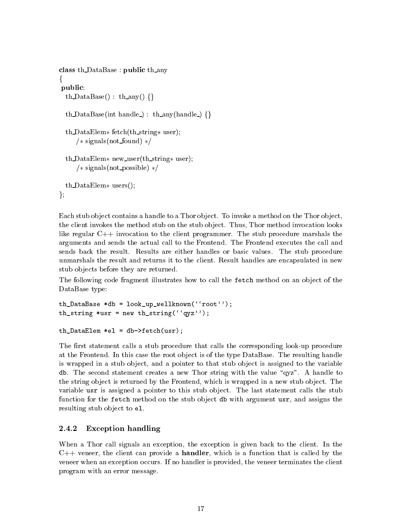```
class th DataBase : public th any
\{public:
  th DataBase() : th any() \{\}\th DataBase(int handle) : th any(handle) \{\}th DataElem * fetch(th string * user);
     /* signals(not_found) */th DataElem * new user(th string * user);
     /* signals(not_possible) */th DataElem \ast users();
g;
```
Each stub object contains a handle to a Thor object. To invoke a method on the Thor object, the client invokes the method stub on the stub object. Thus, Thor method invocation looks like regular C++ invocation to the client programmer. The stub procedure marshals the arguments and sends the actual call to the Frontend. The Frontend executes the call and sends back the result. Results are either handles or basic values. The stub procedure unmarshals the result and returns it to the client. Result handles are encapsulated in new stub objects before they are returned.

The following code fragment illustrates how to call the fetch method on an object of the DataBase type:

```
th DataBase *db = look up wellknown('root'');
th_string *usr = new th_string('qyz'');
```

```
thDataElem *el = db->fetch(usr);
```
The first statement calls a stub procedure that calls the corresponding look-up procedure at the Frontend. In this case the root ob ject is of the type DataBase. The resulting handle is wrapped in a stub object, and a pointer to that stub object is assigned to the variable db. The second statement creates a new Thor string with the value " $qyz$ ". A handle to the string object is returned by the Frontend, which is wrapped in a new stub object. The variable usr is assigned a pointer to this stub object. The last statement calls the stub function for the fetch method on the stub object db with argument usr, and assigns the resulting stub object to e1.

### 2.4.2 Exception handling

When a Thor call signals an exception, the exception is given back to the client. In the  $C++$  veneer, the client can provide a **handler**, which is a function that is called by the veneer when an exception occurs. If no handler is provided, the veneer terminates the client program with an error message.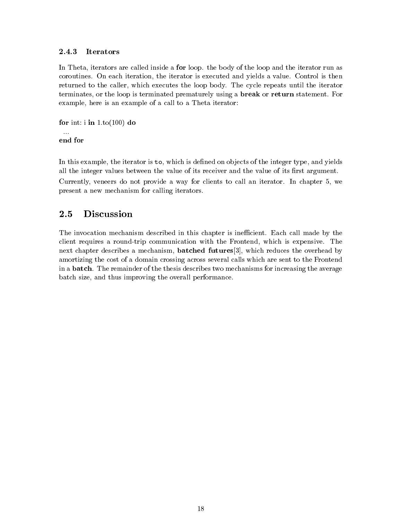#### 2.4.3 **Iterators**

In Theta, iterators are called inside a **for** loop. the body of the loop and the iterator run as coroutines. On each iteration, the iterator is executed and yields a value. Control is then returned to the caller, which executes the loop body. The cycle repeats until the iterator terminates, or the loop is terminated prematurely using a break or return statement. For example, here is an example of a call to a Theta iterator:

```
for int: i in 1.to(100) do
 \mathbf{r}
```
In this example, the iterator is to, which is defined on objects of the integer type, and yields all the integer values between the value of its receiver and the value of its first argument. Currently, veneers do not provide a way for clients to call an iterator. In chapter 5, we present a new mechanism for calling iterators.

#### $2.5$ **Discussion**

The invocation mechanism described in this chapter is inefficient. Each call made by the client requires a round-trip communication with the Frontend, which is expensive. The next chapter describes a mechanism, batched futures[3], which reduces the overhead by amortizing the cost of a domain crossing across several calls which are sent to the Frontend in a batch. The remainder of the thesis describes two mechanisms for increasing the average batch size, and thus improving the overall performance.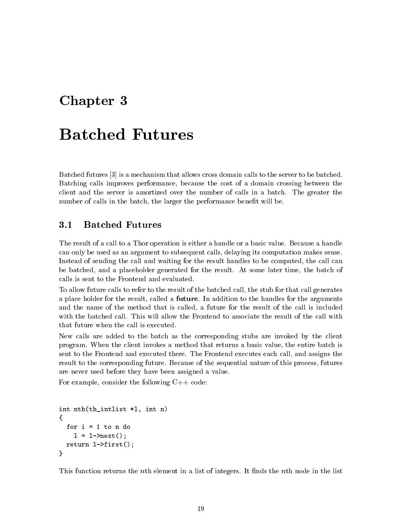# Chapter <sup>3</sup>

Batched futures [3] is a mechanism that allows cross domain calls to the server to be batched. Batching calls improves performance, because the cost of a domain crossing between the client and the server is amortized over the number of calls in a batch. The greater the number of calls in the batch, the larger the performance benefit will be.

#### $3.1$ **Batched Futures**

The result of a call to a Thor operation is either a handle or a basic value. Because a handle can only be used as an argument to subsequent calls, delaying its computation makes sense. Instead of sending the call and waiting for the result handles to be computed, the call can be batched, and a placeholder generated for the result. At some later time, the batch of calls is sent to the Frontend and evaluated.

To allow future calls to refer to the result of the batched call, the stub for that call generates a place holder for the result, called a future. In addition to the handles for the arguments and the name of the method that is called, a future for the result of the call is included with the batched call. This will allow the Frontend to associate the result of the call with that future when the call is executed.

New calls are added to the batch as the corresponding stubs are invoked by the client program. When the client invokes a method that returns a basic value, the entire batch is sent to the Frontend and executed there. The Frontend executes each call, and assigns the result to the corresponding future. Because of the sequential nature of this process, futures are never used before they have been assigned a value.

For example, consider the following  $C++$  code:

```
int nth(th_intlist *l, int n)
\mathbf{f}{\color{red} \bullet} . The contract of the contract of the contract of the contract of the contract of the contract of the contract of the contract of the contract of the contract of the contract of the contract of the contract of 
      for i = 1 to n do
             1 = 1 ->next();
      return l->first();
\mathbf{r}}
```
This function returns the *n*th element in a list of integers. It finds the *n*th node in the list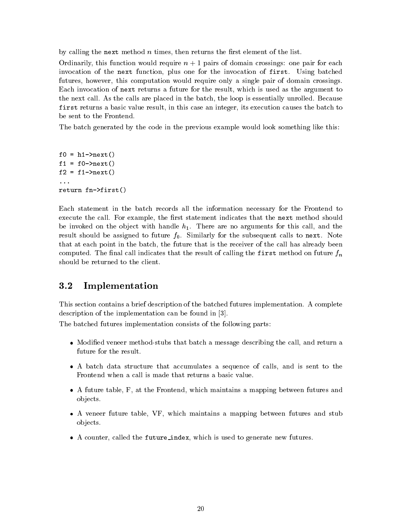by calling the next method  $n$  times, then returns the first element of the list.

Ordinarily, this function would require  $n + 1$  pairs of domain crossings: one pair for each invocation of the next function, plus one for the invocation of first. Using batched futures, however, this computation would require only a single pair of domain crossings. Each invocation of next returns a future for the result, which is used asthe argument to the next call. As the calls are placed in the batch, the loop is essentially unrolled. Because first returns a basic value result, in this case an integer, its execution causes the batch to be sent to the Frontend.

The batch generated by the code in the previous example would look something like this:

f0 =  $h1$ ->next()  $f1 = f0-\text{next}()$  $f2 = f1-\text{next}$ ) return fn->first()

Each statement in the batch records all the information necessary for the Frontend to execute the call. For example, the first statement indicates that the next method should be invoked on the object with handle  $h_1$ . There are no arguments for this call, and the result should be assigned to future  $f_0$ . Similarly for the subsequent calls to next. Note that at each point in the batch, the future that is the receiver of the call has already been computed. The final call indicates that the result of calling the first method on future  $f_n$ 

#### $3.2$ **Implementation**

This section contains a brief description of the batched futures implementation. A complete description of the implementation can be found in [3].

The batched futures implementation consists of the following parts:

- Modified veneer method-stubs that batch a message describing the call, and return a future for the result.
- <sup>A</sup> batch data structure that accumulates <sup>a</sup> sequence of calls, and issent to the Frontend when a call is made that returns a basic value.
- <sup>A</sup> future table, F, at the Frontend, which maintains a mapping between futures and ob jects.
- <sup>A</sup> veneer future table, VF, which maintains <sup>a</sup> mapping between futures and stub ob jects.
- A counter, called the future index, which is used to generate new futures.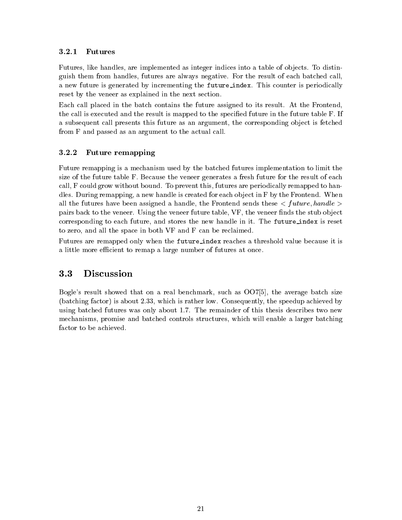#### 3.2.1 **Futures**

Futures, like handles, are implemented as integer indices into a table of objects. To distinguish them from handles, futures are always negative. For the result of each batched call, a new future is generated by incrementing the future index. This counter is periodically reset by the veneer as explained in the next section.

Each call placed in the batch contains the future assigned to its result. At the Frontend, the call is executed and the result is mapped to the specied future in the future table F. If a subsequent call presents this future as an argument, the corresponding object is fetched from F and passed as an argument to the actual call.

### 3.2.2 Future remapping

Future remapping is a mechanism used by the batched futures implementation to limit the size of the future table F. Because the veneer generates a fresh future for the result of each call, F could grow without bound. To prevent this, futures are periodically remapped to handles. During remapping, a new handle is created for each object in F by the Frontend. When all the futures have been assigned a handle, the Frontend sends these  $\langle$  future, handle  $\rangle$ pairs back to the veneer. Using the veneer future table, VF, the veneer finds the stub object corresponding to each future, and stores the new handle in it. The future index is reset to zero, and all the space in both VF and F can be reclaimed.

Futures are remapped only when the future index reaches a threshold value because it is a little more efficient to remap a large number of futures at once.

### 3.3 Discussion

Bogle's result showed that on a real benchmark, such as OO7[5], the average batch size (batching factor) is about 2.33, which is rather low. Consequently, the speedup achieved by using batched futures was only about 1.7. The remainder of this thesis describes two new mechanisms, promise and batched controls structures, which will enable a larger batching factor to be achieved.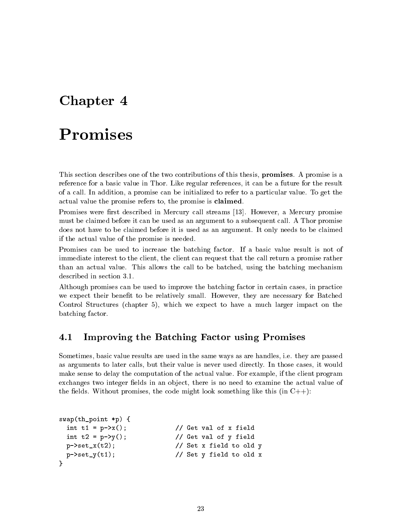# Chapter <sup>4</sup>

# Promises

}

This section describes one of the two contributions of this thesis, **promises**. A promise is a reference for a basic value in Thor. Like regular references, it can be a future for the result of a call. In addition, a promise can be initialized to refer to a particular value. To get the actual value the promise refers to, the promise is claimed.

Promises were first described in Mercury call streams [13]. However, a Mercury promise must be claimed before it can be used as an argument to a subsequent call. A Thor promise does not have to be claimed before it is used as an argument. It only needs to be claimed if the actual value of the promise is needed.

Promises can be used to increase the batching factor. If a basic value result is not of immediate interest to the client, the client can request that the call return a promise rather than an actual value. This allows the call to be batched, using the batching mechanism described in section 3.1

Although promises can be used to improve the batching factor in certain cases, in practice we expect their benet to be relatively small. However, they are necessary for Batched Control Structures (chapter 5), which we expect to have a much larger impact on the batching factor.

### 4.1 Improving the Batching Factor using Promises

Sometimes, basic value results are used in the same ways as are handles, i.e. they are passed as arguments to later calls, but their value is never used directly. In those cases, it would make sense to delay the computation of the actual value. For example, if the client program exchanges two integer fields in an object, there is no need to examine the actual value of the fields. Without promises, the code might look something like this (in  $C_{++}$ ):

```
swap(th_point *p) {
 int t1 = p-\lambda x (); \frac{1}{\lambda} Get val of x field
 int t2 = p - \gamma(); // Get val of y field
 p \rightarrow set_x(t2); // Set x field to old y
 p \rightarrow set_y(t1); // Set y field to old x
```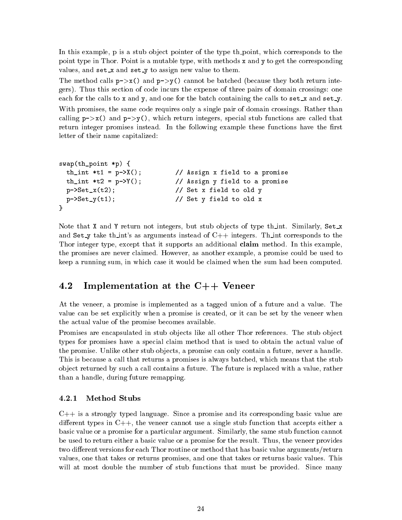In this example, p is a stub object pointer of the type th-point, which corresponds to the point type in Thor. Point is a mutable type, with methods x and y to get the corresponding values, and  $\texttt{set\_x}$  and  $\texttt{set\_y}$  to assign new value to them.

The method calls  $p\rightarrow x()$  and  $p\rightarrow y()$  cannot be batched (because they both return integers). Thus this section of code incurs the expense of three pairs of domain crossings: one each for the calls to x and y, and one for the batch containing the calls to  $\texttt{set\_x}$  and  $\texttt{set\_y}$ . With promises, the same code requires only a single pair of domain crossings. Rather than calling  $p\rightarrow x$  () and  $p\rightarrow y$  (), which return integers, special stub functions are called that return integer promises instead. In the following example these functions have the first letter of their name capitalized:

```
swap(th_point *p) {
 th_int *t1 = p->X(); // Assign x field to a promise
 th_int *t2 = p-Y(); // Assign y field to a promise
 p-\text{Set}_x(t2); // Set x field to old y
 p-\text{Set}_y(t1); // Set y field to old x
}
```
Note that X and Y return not integers, but stub objects of type the int. Similarly,  $Set_x$ and Set\_y take th\_int's as arguments instead of  $C++$  integers. Th\_int corresponds to the Thor integer type, except that it supports an additional **claim** method. In this example, the promises are never claimed. However, as another example, a promise could be used to keep a running sum, in which case it would be claimed when the sum had been computed.

#### 4.2 Implementation at the  $C++$  Veneer

At the veneer, a promise is implemented as a tagged union of a future and a value. The value can be set explicitly when a promise is created, or it can be set by the veneer when the actual value of the promise becomes available.

Promises are encapsulated in stub objects like all other Thor references. The stub object types for promises have a special claim method that is used to obtain the actual value of the promise. Unlike other stub objects, a promise can only contain a future, never a handle. This is because a call that returns a promises is always batched, which means that the stub ob ject returned by such a call contains a future. The future is replaced with a value, rather than a handle, during future remapping.

 $C_{++}$  is a strongly typed language. Since a promise and its corresponding basic value are different types in  $C_{++}$ , the veneer cannot use a single stub function that accepts either a basic value or a promise for a particular argument. Similarly, the same stub function cannot be used to return either a basic value or a promise for the result. Thus, the veneer provides two different versions for each Thor routine or method that has basic value arguments/return values, one that takes or returns promises, and one that takes or returns basic values. This will at most double the number of stub functions that must be provided. Since many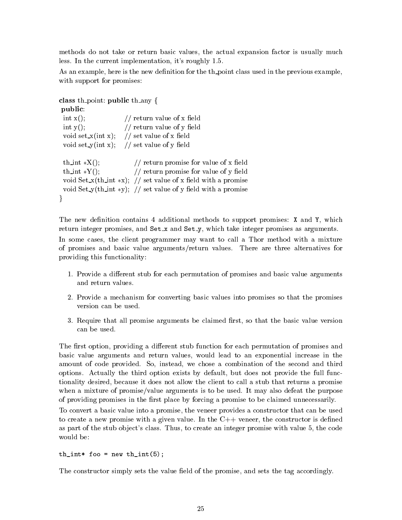methods do not take or return basic values, the actual expansion factor is usually much less. In the current implementation, it's roughly 1.5.

As an example, here is the new definition for the th-point class used in the previous example, with support for promises:

```
class th point: public th any \{
```

```
public:
 int x(); // return value of x field
 int y(); // return value of y field
 void set x(int x); // set value of x field
 void set_y(int x); // set value of y field
 th int *X(); // return promise for value of x field
 th int *Y(); // return promise for value of y field
 void Set x(th int *x); // set value of x field with a promise
 void Set_y(th_int *y); // set value of y field with a promise
\}
```
The new definition contains 4 additional methods to support promises:  $X$  and  $Y$ , which return integer promises, and  $Set_x$  and  $Set_y$ , which take integer promises as arguments.

In some cases, the client programmer may want to call a Thor method with a mixture of promises and basic value arguments/return values. There are three alternatives for providing this functionality:

- 1. Provide a different stub for each permutation of promises and basic value arguments and return values.
- 2. Provide a mechanism for converting basic values into promises so that the promises version can be used.
- 3. Require that all promise arguments be claimed first, so that the basic value version can be used.

The first option, providing a different stub function for each permutation of promises and basic value arguments and return values, would lead to an exponential increase in the amount of code provided. So, instead, we chose a combination of the second and third options. Actually the third option exists by default, but does not provide the full functionality desired, because it does not allow the client to call a stub that returns a promise when a mixture of promise/value arguments is to be used. It may also defeat the purpose of providing promises in the first place by forcing a promise to be claimed unnecessarily.

To convert a basic value into a promise, the veneer provides a constructor that can be used to create a new promise with a given value. In the  $C++$  veneer, the constructor is defined as part of the stub object's class. Thus, to create an integer promise with value 5, the code would be:

```
th\_int* foo = new th\_int(5);
```
The constructor simply sets the value field of the promise, and sets the tag accordingly.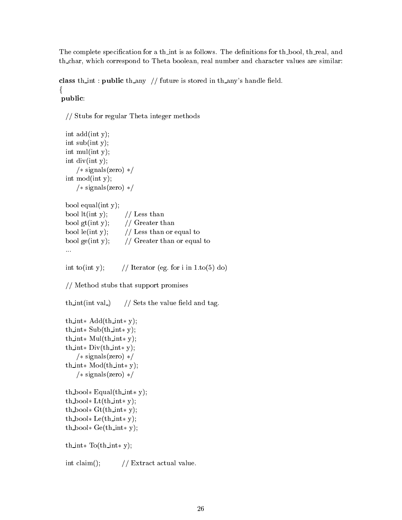The complete specification for a th-int is as follows. The definitions for th-bool, th-real, and th char, which correspond to Theta boolean, real number and character values are similar:

```
class th int: public th any // future is stored in th any's handle field.
f
```
public:

```
// Stubs for regular Theta integer methods
```

```
int add(int y);
int sub(int y);
int mul(int y);
int div(int y);
    /* signals(zero) */int mod(int y);
    /* signals(zero) */bool equal(int y);
```

| bool $lt(int y)$ ;                | // Less than                |
|-----------------------------------|-----------------------------|
| bool $gt(int y)$ ;                | // Greater than             |
| bool $le(int y)$ ;                | // Less than or equal to    |
| bool $\text{ge}(\text{int } y)$ ; | // Greater than or equal to |
|                                   |                             |

```
int to(int y); // Iterator (eg. for i in 1.to(5) do)
```
// Method stubs that support promises

th\_int(int val\_)  $//$  Sets the value field and tag.

```
th_int \star Add(th_int \star y);
th\_int* Sub(th\_int* y);th \text{int} * \text{Mul}(\text{th} \text{int} * y);th \text{int} * \text{Div}(\text{th}\_{} \text{int} * y);/* signals(zero) */th int* Mod(th int* y);
    /* signals(zero) */th\_bool* Equal(th\_int* y);
th\_bool* Lt(th-int* y);
th\_bool* Gt(th_int * y);
th\_bool* Le(th\_int* y);
th_bool* Ge(th\_int* y);
```

```
th \text{int} * \text{To}(\text{th}\_ \text{int} * y);
```
int claim();  $//$  Extract actual value.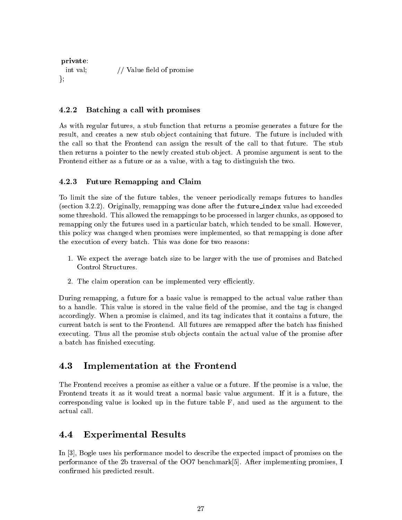private: int val;  $//$  Value field of promise  $\}$ ;

### 4.2.2 Batching a call with promises

As with regular futures, a stub function that returns a promise generates a future for the result, and creates a new stub object containing that future. The future is included with the call so that the Frontend can assign the result of the call to that future. The stub then returns a pointer to the newly created stub object. A promise argument is sent to the Frontend either as a future or as a value, with a tag to distinguish the two.

#### 4.2.3 Future Remapping and Claim

To limit the size of the future tables, the veneer periodically remaps futures to handles (section 3.2.2). Originally, remapping was done after the future index value had exceeded some threshold. This allowed the remappings to be processed in larger chunks, as opposed to remapping only the futures used in a particular batch, which tended to be small. However, this policy was changed when promises were implemented, so that remapping is done after the execution of every batch. This was done for two reasons:

- 1. We expect the average batch size to be larger with the use of promises and Batched Control Structures.
- 2. The claim operation can be implemented very efficiently.

During remapping, a future for a basic value is remapped to the actual value rather than to a handle. This value is stored in the value field of the promise, and the tag is changed accordingly. When a promise is claimed, and its tag indicates that it contains a future, the current batch is sent to the Frontend. All futures are remapped after the batch has finished executing. Thus all the promise stub objects contain the actual value of the promise after a batch has finished executing.

#### 4.3 Implementation at the Frontend

The Frontend receives a promise as either a value or a future. If the promise is a value, the Frontend treats it as it would treat a normal basic value argument. If it is a future, the corresponding value is looked up in the future table F, and used as the argument to the actual call.

#### 4.4 Experimental Results

In [3], Bogle uses his performance model to describe the expected impact of promises on the performance of the 2b traversal of the OO7 benchmark[5]. After implementing promises, I confirmed his predicted result.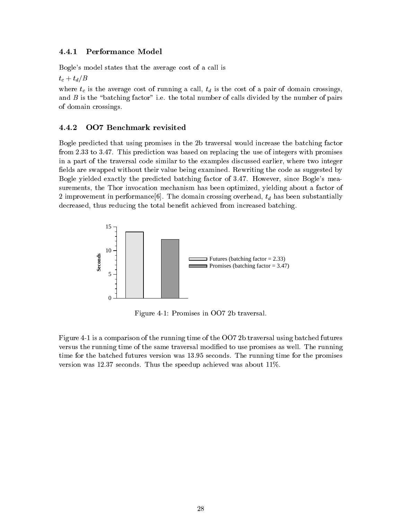#### 4.4.1 Performance Model

Bogle's model states that the average cost of a call is

 $t_c + t_d/B$ 

where  $t_c$  is the average cost of running a call,  $t_d$  is the cost of a pair of domain crossings, and  $B$  is the "batching factor" i.e. the total number of calls divided by the number of pairs of domain crossings.

#### **OO7 Benchmark revisited** 4.4.2

Bogle predicted that using promises in the 2b traversal would increase the batching factor from 2.33 to 3.47. This prediction was based on replacing the use of integers with promises in a part of the traversal code similar to the examples discussed earlier, where two integer fields are swapped without their value being examined. Rewriting the code as suggested by Bogle yielded exactly the predicted batching factor of 3.47. However, since Bogle's measurements, the Thor invocation mechanism has been optimized, yielding about a factor of 2 improvement in performance[6]. The domain crossing overhead,  $t_d$  has been substantially decreased, thus reducing the total benefit achieved from increased batching.



Figure 4-1: Promises in OO7 2b traversal.

Figure 4-1 is a comparison of the running time of the OO7 2b traversal using batched futures versus the running time of the same traversal modified to use promises as well. The running time for the batched futures version was 13.95 seconds. The running time for the promises version was 12.37 seconds. Thus the speedup achieved was about 11%.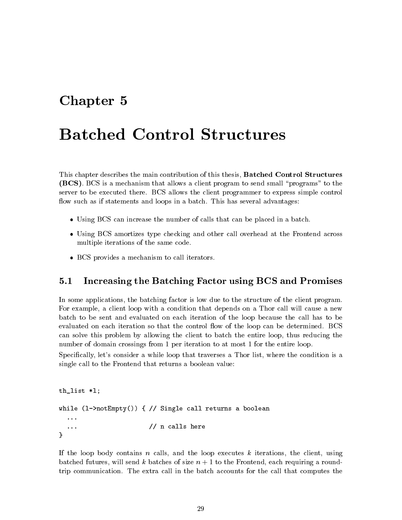# Chapter <sup>5</sup>

This chapter describes the main contribution of this thesis, Batched Control Structures (BCS). BCS is a mechanism that allows a client program to send small \programs" to the server to be executed there. BCS allows the client programmer to express simple control flow such as if statements and loops in a batch. This has several advantages:

- Using BCS can increase the number of calls that can be placed in a batch.
- Using BCS amortizes type checking and other call overhead at the Frontend across multiple iterations of the same code.
- BCS provides a mechanism to call iterators.

### 5.1 Increasing the Batching Factor using BCS and Promises

In some applications, the batching factor is low due to the structure of the client program. For example, a client loop with a condition that depends on a Thor call will cause a new batch to be sent and evaluated on each iteration of the loop because the call has to be evaluated on each iteration so that the control flow of the loop can be determined. BCS can solve this problem by allowing the client to batch the entire loop, thus reducing the number of domain crossings from 1 per iteration to at most 1 for the entire loop.

Specifically, let's consider a while loop that traverses a Thor list, where the condition is a single call to the Frontend that returns a boolean value:

```
th_list *l;
while (l->notEmpty()) { // Single call returns a boolean
  \ddots... // n calls here
<sup>}</sup>
}
```
If the loop body contains n calls, and the loop executes  $k$  iterations, the client, using batched futures, will send k batches of size  $n + 1$  to the Frontend, each requiring a roundtrip communication. The extra call in the batch accounts for the call that computes the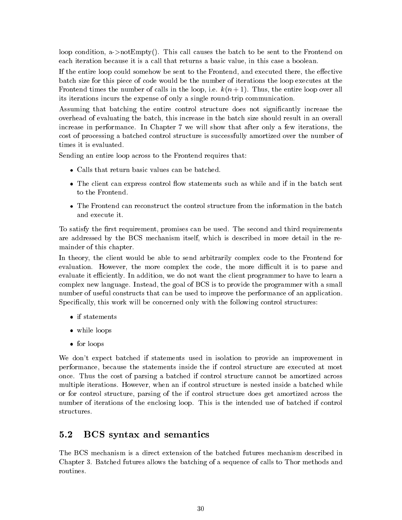loop condition, a->notEmpty(). This call causes the batch to be sent to the Frontend on each iteration because it is a call that returns a basic value, in this case a boolean.

If the entire loop could somehow be sent to the Frontend, and executed there, the effective batch size for this piece of code would be the number of iterations the loop executes at the Frontend times the number of calls in the loop, i.e.  $k(n+1)$ . Thus, the entire loop over all its iterations incurs the expense of only a single round-trip communication.

Assuming that batching the entire control structure does not signicantly increase the overhead of evaluating the batch, this increase in the batch size should result in an overall increase in performance. In Chapter 7 we will show that after only a few iterations, the cost of processing a batched control structure is successfully amortized over the number of times it is evaluated.

Sending an entire loop across to the Frontend requires that:

- Calls that return basic values can be batched.
- The client can express control flow statements such as while and if in the batch sent to the Frontend.
- The Frontend can reconstruct the control structure from the information in the batch and execute it.

To satisfy the first requirement, promises can be used. The second and third requirements are addressed by the BCS mechanism itself, which is described in more detail in the remainder of this chapter.

In theory, the client would be able to send arbitrarily complex code to the Frontend for evaluation. However, the more complex the code, the more difficult it is to parse and evaluate it efficiently. In addition, we do not want the client programmer to have to learn a complex new language. Instead, the goal of BCS is to provide the programmer with a small number of useful constructs that can be used to improve the performance of an application. Specifically, this work will be concerned only with the following control structures:

- if statements
- while loops
- for loops

We don't expect batched if statements used in isolation to provide an improvement in performance, because the statements inside the if control structure are executed at most once. Thus the cost of parsing a batched if control structure cannot be amortized across multiple iterations. However, when an if control structure is nested inside a batched while or for control structure, parsing of the if control structure does get amortized across the number of iterations of the enclosing loop. This is the intended use of batched if control structures.

#### 5.2 BCS syntax and semantics  $5.2$

The BCS mechanism is a direct extension of the batched futures mechanism described in Chapter 3. Batched futures allows the batching of a sequence of calls to Thor methods and routines.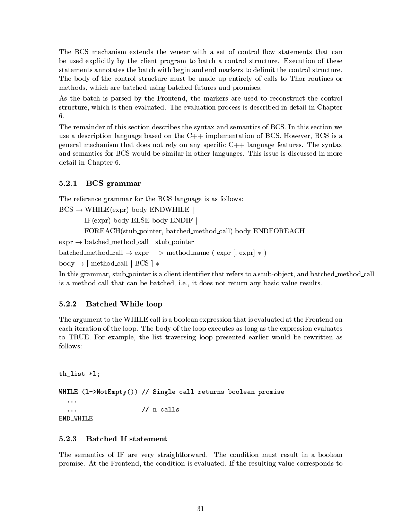The BCS mechanism extends the veneer with a set of control flow statements that can be used explicitly by the client program to batch a control structure. Execution of these statements annotates the batch with begin and end markers to delimit the control structure. The body of the control structure must be made up entirely of calls to Thor routines or methods, which are batched using batched futures and promises.

As the batch is parsed by the Frontend, the markers are used to reconstruct the control structure, which is then evaluated. The evaluation process is described in detail in Chapter 6.

The remainder of this section describes the syntax and semantics of BCS. In this section we use a description language based on the  $C++$  implementation of BCS. However, BCS is a general mechanism that does not rely on any specific  $C_{++}$  language features. The syntax and semantics for BCS would be similar in other languages. This issue is discussed in more detail in Chapter 6.

### 5.2.1 BCS grammar

The reference grammar for the BCS language is as follows:

 $BCS \rightarrow WHILE(exp)$  body ENDWHILE

IF(expr) body ELSE body ENDIF j

FOREACH(stub pointer, batched method call) body ENDFOREACH

 $\text{expr} \rightarrow \text{batched\_method\_call}$  | stub pointer

batched method call  $\rightarrow$  expr  $\rightarrow$  method name (expr [, expr]  $\ast$ )

 $body \rightarrow$  [ method\_call | BCS ]  $*$ 

In this grammar, stub-pointer is a client identifier that refers to a stub-object, and batched\_method\_call is a method call that can be batched, i.e., it does not return any basic value results.

### 5.2.2 Batched While loop

The argument to the WHILE call is a boolean expression that is evaluated at the Frontend on each iteration of the loop. The body of the loop executes as long as the expression evaluates to TRUE. For example, the list traversing loop presented earlier would be rewritten as follows:

```
th_list *l;
WHILE (l->NotEmpty()) // Single call returns boolean promise
     ...
                                                     // n calls
     . As a contract of the contract of the contract of the contract of the contract of the contract of the contract of the contract of the contract of the contract of the contract of the contract of the contract of the contra
END_WHILE
```
### $5.2.3$

The semantics of IF are very straightforward. The condition must result in a boolean promise. At the Frontend, the condition is evaluated. If the resulting value corresponds to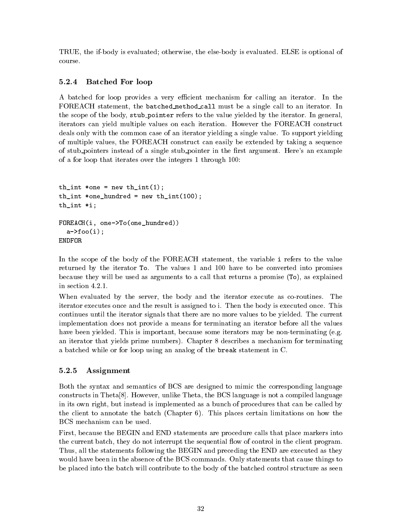TRUE, the if-body is evaluated; otherwise, the else-body is evaluated. ELSE is optional of course.

#### 5.2.4 5.2.4 Batched For loop

A batched for loop provides a very efficient mechanism for calling an iterator. In the FOREACH statement, the batched method call must be a single call to an iterator. In the scope of the body, stub pointer refers to the value yielded by the iterator. In general, iterators can yield multiple values on each iteration. However the FOREACH construct deals only with the common case of an iterator yielding a single value. To support yielding of multiple values, the FOREACH construct can easily be extended by taking a sequence of stub pointers instead of a single stub pointer in the first argument. Here's an example of a for loop that iterates over the integers 1 through 100:

```
th_int *one = new th_int(1);
th\_int *one\_hundred = new th\_int(100);th_int *i;
FOREACH(i, one->To(one_hundred))
  a \rightarrow foo(i);ENDFOR
```
In the scope of the body of the FOREACH statement, the variable i refers to the value returned by the iterator To. The values 1 and 100 have to be converted into promises because they will be used as arguments to a call that returns a promise (To), as explained in section 4.2.1.

When evaluated by the server, the body and the iterator execute as co-routines. The iterator executes once and the result is assigned to i. Then the body is executed once. This continues until the iterator signals that there are no more values to be yielded. The current implementation does not provide a means for terminating an iterator before all the values have been yielded. This is important, because some iterators may be non-terminating (e.g. an iterator that yields prime numbers). Chapter 8 describes a mechanism for terminating a batched while or for loop using an analog of the break statement in C.

#### 5.2.5 Assignment

Both the syntax and semantics of BCS are designed to mimic the corresponding language constructs in Theta[8]. However, unlike Theta, the BCS language is not a compiled language in its own right, but instead is implemented as a bunch of procedures that can be called by the client to annotate the batch (Chapter 6). This places certain limitations on how the BCS mechanism can be used.

First, because the BEGIN and END statements are procedure calls that place markers into the current batch, they do not interrupt the sequential flow of control in the client program. Thus, all the statements following the BEGIN and preceding the END are executed as they would have been in the absence of the BCS commands. Only statements that cause things to be placed into the batch will contribute to the body of the batched control structure as seen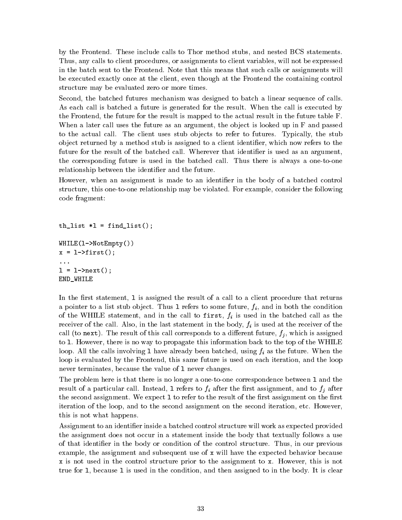by the Frontend. These include calls to Thor method stubs, and nested BCS statements. Thus, any calls to client procedures, or assignments to client variables, will not be expressed in the batch sent to the Frontend. Note that this means that such calls or assignments will be executed exactly once at the client, even though at the Frontend the containing control structure may be evaluated zero or more times.

Second, the batched futures mechanism was designed to batch a linear sequence of calls. As each call is batched a future is generated for the result. When the call is executed by the Frontend, the future for the result is mapped to the actual result in the future table F. When a later call uses the future as an argument, the object is looked up in F and passed to the actual call. The client uses stub objects to refer to futures. Typically, the stub ob ject returned by a method stub is assigned to a client identier, which now refers to the future for the result of the batched call. Wherever that identifier is used as an argument, the corresponding future is used in the batched call. Thus there is always a one-to-one relationship between the identifier and the future.

However, when an assignment is made to an identifier in the body of a batched control structure, this one-to-one relationship may be violated. For example, consider the following code fragment:

```
th<sub>list</sub> *l = find<sub>list</sub>();
WHILE(l->NotEmpty())
x = 1 - \text{first}();
\mathbf{1}l = l->next();
END_WHILE
```
In the first statement, 1 is assigned the result of a call to a client procedure that returns a pointer to a list stub object. Thus 1 refers to some future,  $f_i$ , and in both the condition of the WHILE statement, and in the call to first,  $f_i$  is used in the batched call as the receiver of the call. Also, in the last statement in the body,  $f_i$  is used at the receiver of the call (to next). The result of this call corresponds to a different future,  $f_i$ , which is assigned to l. However, there is no way to propagate this information back to the top of the WHILE loop. All the calls involving 1 have already been batched, using  $f_i$  as the future. When the loop is evaluated by the Frontend, this same future is used on each iteration, and the loop never terminates, because the value of l never changes.

The problem here is that there is no longer a one-to-one correspondence between l and the result of a particular call. Instead, 1 refers to  $f_i$  after the first assignment, and to  $f_j$  after the second assignment. We expect 1 to refer to the result of the first assignment on the first iteration of the loop, and to the second assignment on the second iteration, etc. However, this is not what happens.

Assignment to an identifier inside a batched control structure will work as expected provided the assignment does not occur in a statement inside the body that textually follows a use of that identier in the body or condition of the control structure. Thus, in our previous example, the assignment and subsequent use of x will have the expected behavior because x is not used in the control structure prior to the assignment to x. However, this is not true for l, because l is used in the condition, and then assigned to in the body. It is clear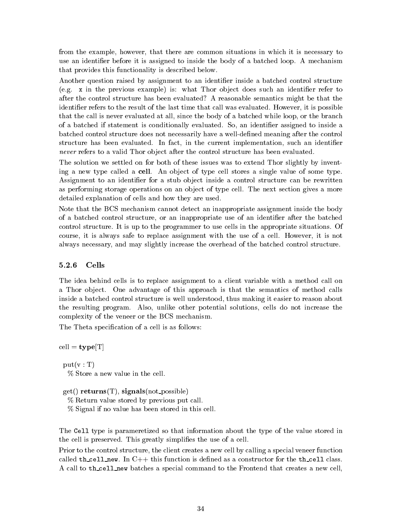from the example, however, that there are common situations in which it is necessary to use an identifier before it is assigned to inside the body of a batched loop. A mechanism that provides this functionality is described below.

Another question raised by assignment to an identifier inside a batched control structure (e.g.  $\bar{x}$  in the previous example) is: what Thor object does such an identifier refer to after the control structure has been evaluated? A reasonable semantics might be that the identifier refers to the result of the last time that call was evaluated. However, it is possible that the call is never evaluated at all, since the body of a batched while loop, or the branch of a batched if statement is conditionally evaluated. So, an identier assigned to inside a batched control structure does not necessarily have a well-defined meaning after the control structure has been evaluated. In fact, in the current implementation, such an identifier never refers to a valid Thor object after the control structure has been evaluated.

The solution we settled on for both of these issues was to extend Thor slightly by inventing a new type called a cell. An object of type cell stores a single value of some type. Assignment to an identifier for a stub object inside a control structure can be rewritten as performing storage operations on an object of type cell. The next section gives a more detailed explanation of cells and how they are used.

Note that the BCS mechanism cannot detect an inappropriate assignment inside the body of a batched control structure, or an inappropriate use of an identier after the batched control structure. It is up to the programmer to use cells in the appropriate situations. Of course, it is always safe to replace assignment with the use of a cell. However, it is not always necessary, and may slightly increase the overhead of the batched control structure.

### 5.2.6 Cells

The idea behind cells is to replace assignment to a client variable with a method call on a Thor object. One advantage of this approach is that the semantics of method calls inside a batched control structure is well understood, thus making it easier to reason about the resulting program. Also, unlike other potential solutions, cells do not increase the complexity of the veneer or the BCS mechanism.

The Theta specification of a cell is as follows:

 $cell = type[T]$ 

 $put(v : T)$ % Store a new value in the cell.

 $get()$  returns $(T)$ , signals(not\_possible)

% Return value stored by previous put call.

% Signal if no value has been stored in this cell.

The Cell type is parameretized so that information about the type of the value stored in the cell is preserved. This greatly simplifies the use of a cell.

Prior to the control structure, the client creates a new cell by calling a special veneer function called th\_cell\_new. In  $C++$  this function is defined as a constructor for the th\_cell class. A call to th cell new batches a special command to the Frontend that creates a new cell,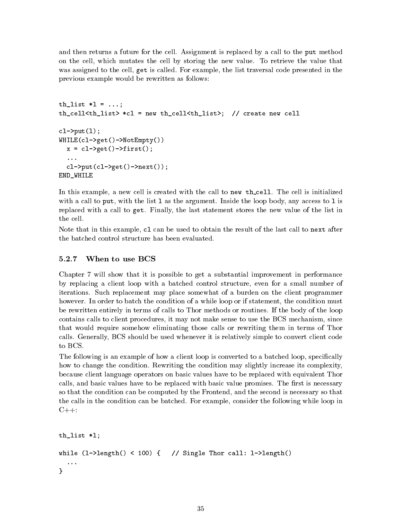and then returns a future for the cell. Assignment is replaced by a call to the put method on the cell, which mutates the cell by storing the new value. To retrieve the value that was assigned to the cell, get is called. For example, the list traversal code presented in the previous example would be rewritten as follows:

```
th_list *l = ...;th_cell<th_list> *cl = new th_cell<th_list>; // create new cell
cl->put(l);
WHILE(cl->get()->NotEmpty())
  x = c1 - \sqrt{c} = \frac{c1 - \sqrt{c}}{c} = \frac{c1 - \sqrt{c}}{c}cl->put(cl->get()->next());
END_WHILE
```
In this example, a new cell is created with the call to new th-cell. The cell is initialized with a call to put, with the list  $1$  as the argument. Inside the loop body, any access to  $1$  is replaced with a call to get. Finally, the last statement stores the new value of the list in the cell.

Note that in this example, cl can be used to obtain the result of the last call to next after the batched control structure has been evaluated.

#### 5.2.7 When to use BCS

Chapter 7 will show that it is possible to get a substantial improvement in performance by replacing a client loop with a batched control structure, even for a small number of iterations. Such replacement may place somewhat of a burden on the client programmer however. In order to batch the condition of a while loop or if statement, the condition must be rewritten entirely in terms of calls to Thor methods or routines. If the body of the loop contains calls to client procedures, it may not make sense to use the BCS mechanism, since that would require somehow eliminating those calls or rewriting them in terms of Thor calls. Generally, BCS should be used whenever it is relatively simple to convert client code to BCS.

The following is an example of how a client loop is converted to a batched loop, specifically how to change the condition. Rewriting the condition may slightly increase its complexity, because client language operators on basic values have to be replaced with equivalent Thor calls, and basic values have to be replaced with basic value promises. The first is necessary so that the condition can be computed by the Frontend, and the second is necessary so that the calls in the condition can be batched. For example, consider the following while loop in  $C_{++}$ :

```
th_list *l;
while (l-\lambda \text{length}(t) < 100) { // Single Thor call: l-\lambdalength()
ł
}
```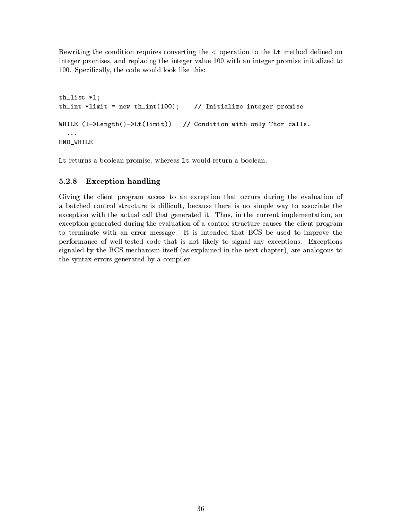Rewriting the condition requires converting the  $\lt$  operation to the Lt method defined on integer promises, and replacing the integer value 100 with an integer promise initialized to 100. Specically, the code would look like this:

```
th_list *l;
th_int *limit = new th_int(100); // Initialize integer promise
WHILE (l->Length()->Lt(limit)) // Condition with only Thor calls.
  ...
END_WHILE
```
Lt returns a boolean promise, whereas lt would return a boolean.

### 5.2.8 Exception handling

Giving the client program access to an exception that occurs during the evaluation of a batched control structure is difficult, because there is no simple way to associate the exception with the actual call that generated it. Thus, in the current implementation, an exception generated during the evaluation of a control structure causes the client program to terminate with an error message. It is intended that BCS be used to improve the performance of well-tested code that is not likely to signal any exceptions. Exceptions signaled by the BCS mechanism itself (as explained in the next chapter), are analogous to the syntax errors generated by a compiler.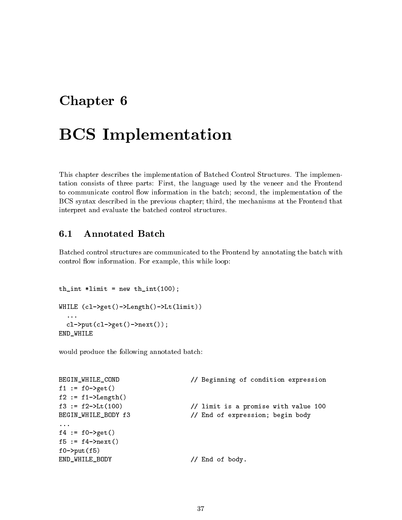# Chapter <sup>6</sup>

# BCS Implementation

This chapter describes the implementation of Batched Control Structures. The implementation consists of three parts: First, the language used by the veneer and the Frontend to communicate control flow information in the batch; second, the implementation of the BCS syntax described in the previous chapter; third, the mechanisms at the Frontend that interpret and evaluate the batched control structures.

#### $6.1$ **Annotated Batch**

Batched control structures are communicated to the Frontend by annotating the batch with control flow information. For example, this while loop:

```
th_int *limit = new th-int(100);WHILE (cl->get()->Length()->Lt(limit))
  \ldotscl->put(cl->get()->next());
END_WHILE
```
would produce the following annotated batch:

```
BEGIN_WHILE_COND // Beginning of condition expression
f1 := f0-\text{2}gt()f2 := f1-\text{Length}()f3 := f2-\text{L}(100) // limit is a promise with value 100
BEGIN_WHILE_BODY f3 // End of expression; begin body
...
f4 := f0-\text{2}gt()f5 := f4-\text{next}()f0->put(f5)END_WHILE_BODY // End of body.
```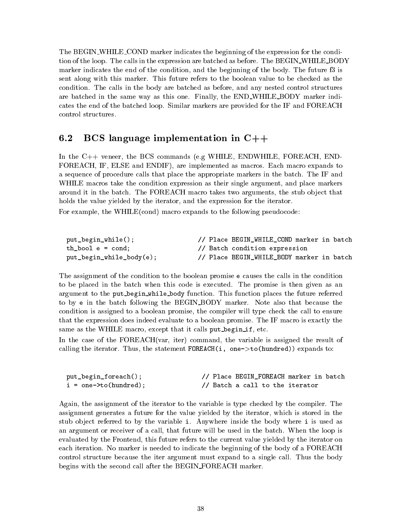The BEGIN\_WHILE\_COND marker indicates the beginning of the expression for the condition of the loop. The calls in the expression are batched as before. The BEGIN\_WHILE\_BODY marker indicates the end of the condition, and the beginning of the body. The future f3 is sent along with this marker. This future refers to the boolean value to be checked as the condition. The calls in the body are batched as before, and any nested control structures are batched in the same way as this one. Finally, the END\_WHILE\_BODY marker indicates the end of the batched loop. Similar markers are provided for the IF and FOREACH control structures.

#### $6.2$ BCS language implementation in  $C++$

In the C++ veneer, the BCS commands (e.g WHILE, ENDWHILE, FOREACH, END-FOREACH, IF, ELSE and ENDIF), are implemented as macros. Each macro expands to a sequence of procedure calls that place the appropriate markers in the batch. The IF and WHILE macros take the condition expression as their single argument, and place markers around it in the batch. The FOREACH macro takes two arguments, the stub object that holds the value yielded by the iterator, and the expression for the iterator.

For example, the WHILE(cond) macro expands to the following pseudocode:

| put_begin_while();          | // Place BEGIN_WHILE_COND marker in batch |  |
|-----------------------------|-------------------------------------------|--|
| th bool $e = \text{cond}$ ; | // Batch condition expression             |  |
| put_begin_while_body(e);    | // Place BEGIN_WHILE_BODY marker in batch |  |

The assignment of the condition to the boolean promise e causes the calls in the condition to be placed in the batch when this code is executed. The promise is then given as an argument to the put begin while body function. This function places the future referred to by e in the batch following the BEGIN BODY marker. Note also that because the condition is assigned to a boolean promise, the compiler will type check the call to ensure that the expression does indeed evaluate to a boolean promise. The IF macro is exactly the same as the WHILE macro, except that it calls put begin if, etc.

In the case of the FOREACH(var, iter) command, the variable is assigned the result of calling the iterator. Thus, the statement  $\texttt{FOREACH}(i, \texttt{one} \texttt{>to}(\texttt{hundred}))$  expands to:

| put_begin_foreach();          |  | // Place BEGIN_FOREACH marker in batch |  |  |
|-------------------------------|--|----------------------------------------|--|--|
| $i = one - \gt to (hundred);$ |  | // Batch a call to the iterator        |  |  |

Again, the assignment of the iterator to the variable is type checked by the compiler. The assignment generates a future for the value yielded by the iterator, which is stored in the stub object referred to by the variable i. Anywhere inside the body where i is used as an argument or receiver of a call, that future will be used in the batch. When the loop is evaluated by the Frontend, this future refers to the current value yielded by the iterator on each iteration. No marker is needed to indicate the beginning of the body of a FOREACH control structure because the iter argument must expand to a single call. Thus the body begins with the second call after the BEGIN FOREACH marker.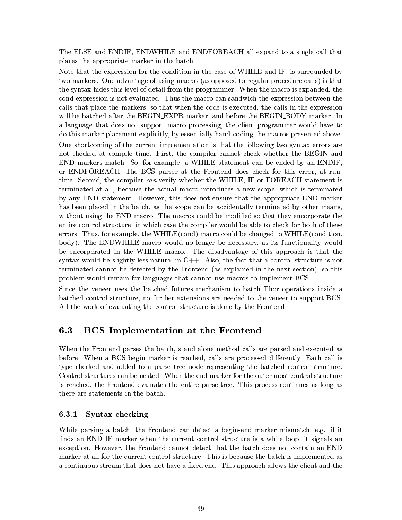The ELSE and ENDIF, ENDWHILE and ENDFOREACH all expand to a single call that places the appropriate marker in the batch.

Note that the expression for the condition in the case of WHILE and IF, is surrounded by two markers. One advantage of using macros (as opposed to regular procedure calls) is that the syntax hides this level of detail from the programmer. When the macro is expanded, the cond expression is not evaluated. Thus the macro can sandwich the expression between the calls that place the markers, so that when the code is executed, the calls in the expression will be batched after the BEGIN\_EXPR marker, and before the BEGIN\_BODY marker. In a language that does not support macro processing, the client programmer would have to do this marker placement explicitly, by essentially hand-coding the macros presented above.

One shortcoming of the current implementation is that the following two syntax errors are not checked at compile time. First, the compiler cannot check whether the BEGIN and END markers match. So, for example, a WHILE statement can be ended by an ENDIF, or ENDFOREACH. The BCS parser at the Frontend does check for this error, at runtime. Second, the compiler can verify whether the WHILE, IF or FOREACH statement is terminated atall, because the actual macro introduces a new scope, which is terminated by any END statement. However, this does not ensure that the appropriate END marker has been placed in the batch, as the scope can be accidentally terminated by other means, without using the END macro. The macros could be modified so that they encorporate the entire control structure, in which case the compiler would be able to check for both of these errors. Thus, for example, the WHILE(cond) macro could be changed to WHILE(condition, body). The ENDWHILE macro would no longer be necessary, as its functionality would be encorporated in the WHILE macro. The disadvantage of this approach is that the syntax would be slightly less natural in  $C++$ . Also, the fact that a control structure is not terminated cannot be detected by the Frontend (as explained in the next section), so this problem would remain for languages that cannot use macros to implement BCS.

Since the veneer uses the batched futures mechanism to batch Thor operations inside a batched control structure, no further extensions are needed to the veneer to support BCS. All the work of evaluating the control structure is done by the Frontend.

#### $6.3$ **BCS** Implementation at the Frontend

When the Frontend parses the batch, stand alone method calls are parsed and executed as before. When a BCS begin marker is reached, calls are processed differently. Each call is type checked and added to a parse tree node representing the batched control structure. Control structures can be nested. When the end marker for the outer most control structure is reached, the Frontend evaluates the entire parse tree. This process continues as long as there are statements in the batch.

### 6.3.1 Syntax checking

While parsing a batch, the Frontend can detect a begin-end marker mismatch, e.g. if it finds an END<sub>-IF</sub> marker when the current control structure is a while loop, it signals an exception. However, the Frontend cannot detect that the batch does not contain an END marker at all for the current control structure. This is because the batch is implemented as a continuous stream that does not have a fixed end. This approach allows the client and the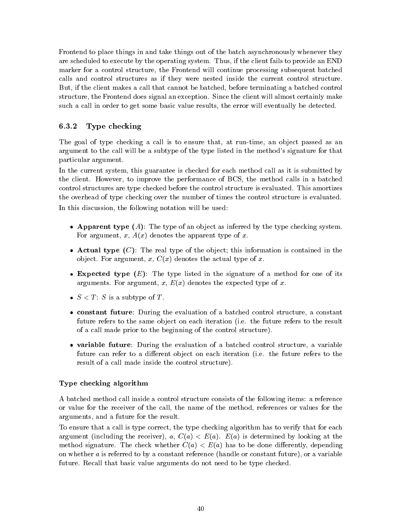Frontend to place things in and take things out of the batch asynchronously whenever they are scheduled to execute by the operating system. Thus, if the client fails to provide an END marker for a control structure, the Frontend will continue processing subsequent batched calls and control structures as if they were nested inside the current control structure. But, if the client makes a call that cannot be batched, before terminating a batched control structure, the Frontend does signal an exception. Since the client will almost certainly make such a call in order to get some basic value results, the error will eventually be detected.

### 6.3.2 Type checking

The goal of type checking a call is to ensure that, at run-time, an object passed as an argument to the call will be a subtype of the type listed in the method's signature for that particular argument.

In the current system, this guarantee is checked for each method call as it is submitted by the client. However, to improve the performance of BCS, the method calls in a batched control structures are type checked before the control structure is evaluated. This amortizes the overhead of type checking over the number of times the control structure is evaluated. In this discussion, the following notation will be used:

- Apparent type  $(A)$ : The type of an object as inferred by the type checking system. For argument, x,  $A(x)$  denotes the apparent type of x.
- Actual type  $(C)$ : The real type of the object; this information is contained in the object. For argument, x,  $C(x)$  denotes the actual type of x.
- **Expected type**  $(E)$ : The type listed in the signature of a method for one of its arguments. For argument, x,  $E(x)$  denotes the expected type of x.
- $S < T$ : S is a subtype of T.
- constant future: During the evaluation of <sup>a</sup> batched control structure, <sup>a</sup> constant future refers to the same object on each iteration (i.e. the future refers to the result of a call made prior to the beginning of the control structure).
- variable future: During the evaluation of a batched control structure, a variable future can refer to a different object on each iteration (i.e. the future refers to the result of a call made inside the control structure).

### Type checking algorithm

A batched method call inside a control structure consists of the following items: a reference or value for the receiver of the call, the name of the method, references or values for the arguments, and a future for the result.

To ensure that a call is type correct, the type checking algorithm has to verify that for each argument (including the receiver), a,  $C(a) < E(a)$ .  $E(a)$  is determined by looking at the method signature. The check whether  $C(a) < E(a)$  has to be done differently, depending on whether  $a$  is referred to by a constant reference (handle or constant future), or a variable future. Recall that basic value arguments do not need to be type checked.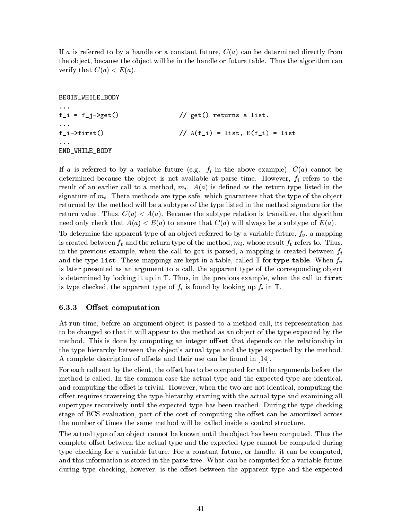If a is referred to by a handle or a constant future,  $C(a)$  can be determined directly from the object, because the object will be in the handle or future table. Thus the algorithm can verify that  $C(a) < E(a)$ .

BEGIN\_WHILE\_BODY  $f_i = f_j - \text{2get}$  // get() returns a list.  $f_i$  ->first()  $// A(f_i) = list, E(f_i) = list$ END\_WHILE\_BODY

If a is referred to by a variable future (e.g.  $f_i$  in the above example),  $C(a)$  cannot be determined because the object is not available at parse time. However,  $f_i$  refers to the result of an earlier call to a method,  $m_i$ .  $A(a)$  is defined as the return type listed in the signature of  $m_i$ . Theta methods are type safe, which guarantees that the type of the object returned by the method will be a subtype of the type listed in the method signature for the return value. Thus,  $C(a) < A(a)$ . Because the subtype relation is transitive, the algorithm need only check that  $A(a) < E(a)$  to ensure that  $C(a)$  will always be a subtype of  $E(a)$ .

To determine the apparent type of an object referred to by a variable future,  $f_v$ , a mapping is created between  $f_v$  and the return type of the method,  $m_i$ , whose result  $f_v$  refers to. Thus, in the previous example, when the call to get is parsed, a mapping is created between  $f_i$ and the type list. These mappings are kept in a table, called T for type table. When  $f_v$ is later presented as an argument to a call, the apparent type of the corresponding object is determined by looking it up in T. Thus, in the previous example, when the call to first is type checked, the apparent type of  $f_i$  is found by looking up  $f_i$  in T.

### 6.3.3 Offset computation

At run-time, before an argument object is passed to a method call, its representation has to be changed so that it will appear to the method as an object of the type expected by the method. This is done by computing an integer **offset** that depends on the relationship in the type hierarchy between the object's actual type and the type expected by the method. A complete description of offsets and their use can be found in [14].

For each call sent by the client, the offset has to be computed for all the arguments before the method is called. In the common case the actual type and the expected type are identical, and computing the offset is trivial. However, when the two are not identical, computing the offset requires traversing the type hierarchy starting with the actual type and examining all supertypes recursively until the expected type has been reached. During the type checking stage of BCS evaluation, part of the cost of computing the offset can be amortized across the number of times the same method will be called inside a control structure.

The actual type of an object cannot be known until the object has been computed. Thus the complete offset between the actual type and the expected type cannot be computed during type checking for a variable future. For a constant future, or handle, it can be computed, and this information is stored in the parse tree. What *can* be computed for a variable future during type checking, however, is the offset between the apparent type and the expected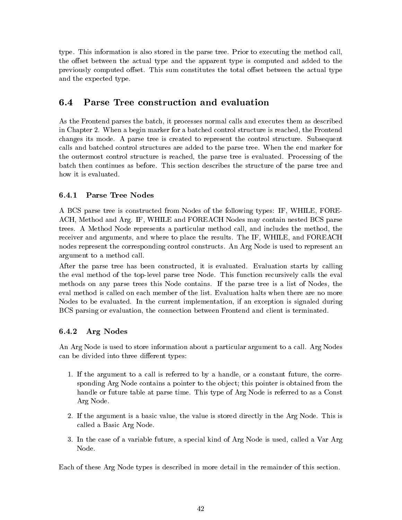type. This information is also stored in the parse tree. Prior to executing the method call, the offset between the actual type and the apparent type is computed and added to the previously computed offset. This sum constitutes the total offset between the actual type and the expected type.

#### Parse Tree construction and evaluation  $6.4$

As the Frontend parses the batch, it processes normal calls and executes them as described in Chapter 2. When a begin marker for a batched control structure is reached, the Frontend changes its mode. A parse tree is created to represent the control structure. Subsequent calls and batched control structures are added to the parse tree. When the end marker for the outermost control structure is reached, the parse tree is evaluated. Processing of the batch then continues as before. This section describes the structure of the parse tree and

### 6.4.1 Parse Tree Nodes

A BCS parse tree is constructed from Nodes of the following types: IF, WHILE, FORE-ACH, Method and Arg. IF, WHILE and FOREACH Nodes may contain nested BCS parse trees. A Method Node represents a particular method call, and includes the method, the receiver and arguments, and where to place the results. The IF, WHILE, and FOREACH nodes represent the corresponding control constructs. An Arg Node is used to represent an argument to a method call.

After the parse tree has been constructed, it is evaluated. Evaluation starts by calling the eval method of the top-level parse tree Node. This function recursively calls the eval methods on any parse trees this Node contains. If the parse tree is a list of Nodes, the eval method is called on each member of the list. Evaluation halts when there are no more Nodes to be evaluated. In the current implementation, if an exception is signaled during BCS parsing or evaluation, the connection between Frontend and client is terminated.

### 6.4.2 Arg Nodes

An Arg Node is used to store information about a particular argument to a call. Arg Nodes can be divided into three different types:

- 1. If the argument to a call is referred to by a handle, or a constant future, the corresponding Arg Node contains a pointer to the object; this pointer is obtained from the handle or future table at parse time. This type of Arg Node is referred to as a Const Arg Node.
- 2. If the argument is a basic value, the value is stored directly in the Arg Node. This is called a Basic Arg Node.
- 3. In the case of a variable future, a special kind of Arg Node is used, called a Var Arg Node.

Each of these Arg Node types is described in more detail in the remainder of this section.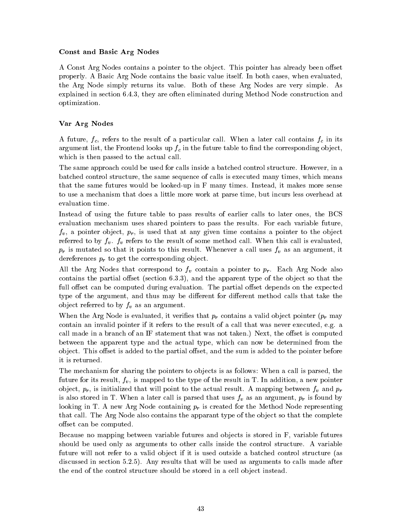### Const and Basic Arg Nodes

A Const Arg Nodes contains a pointer to the object. This pointer has already been offset properly. A Basic Arg Node contains the basic value itself. In both cases, when evaluated, the Arg Node simply returns its value. Both of these Arg Nodes are very simple. As explained in section 6.4.3, they are often eliminated during Method Node construction and optimization.

### Var Arg Nodes

A future,  $f_c$ , refers to the result of a particular call. When a later call contains  $f_c$  in its argument list, the Frontend looks up  $f_c$  in the future table to find the corresponding object, which is then passed to the actual call.

The same approach could be used for calls inside a batched control structure. However, in a batched control structure, the same sequence of calls is executed many times, which means that the same futures would be looked-up in F many times. Instead, it makes more sense to use a mechanism that does a little more work at parse time, but incurs less overhead at evaluation time.

Instead of using the future table to pass results of earlier calls to later ones, the BCS evaluation mechanism uses shared pointers to pass the results. For each variable future,  $f_v$ , a pointer object,  $p_r$ , is used that at any given time contains a pointer to the object referred to by  $f_v$ .  $f_v$  refers to the result of some method call. When this call is evaluated,  $p_r$  is mutated so that it points to this result. Whenever a call uses  $f_v$  as an argument, it dereferences  $p_r$  to get the corresponding object.

All the Arg Nodes that correspond to  $f_v$  contain a pointer to  $p_r$ . Each Arg Node also contains the partial offset (section  $6.3.3$ ), and the apparent type of the object so that the full offset can be computed during evaluation. The partial offset depends on the expected type of the argument, and thus may be different for different method calls that take the object referred to by  $f_v$  as an argument.

When the Arg Node is evaluated, it verifies that  $p_r$  contains a valid object pointer  $(p_r)$  may contain an invalid pointer if it refers to the result of a call that was never executed, e.g. a call made in a branch of an IF statement that was not taken.) Next, the offset is computed between the apparent type and the actual type, which can now be determined from the object. This offset is added to the partial offset, and the sum is added to the pointer before it is returned.

The mechanism for sharing the pointers to objects is as follows: When a call is parsed, the future for its result,  $f_v$ , is mapped to the type of the result in T. In addition, a new pointer object,  $p_r$ , is initialized that will point to the actual result. A mapping between  $f_v$  and  $p_r$ is also stored in T. When a later call is parsed that uses  $f_v$  as an argument,  $p_r$  is found by looking in T. A new Arg Node containing  $p_r$  is created for the Method Node representing that call. The Arg Node also contains the apparant type of the object so that the complete offset can be computed.

Because no mapping between variable futures and ob jects is stored in F, variable futures should be used only as arguments to other calls inside the control structure. A variable future will not refer to a valid object if it is used outside a batched control structure (as discussed in section 5.2.5). Any results that will be used as arguments to calls made after the end of the control structure should be stored in a cell object instead.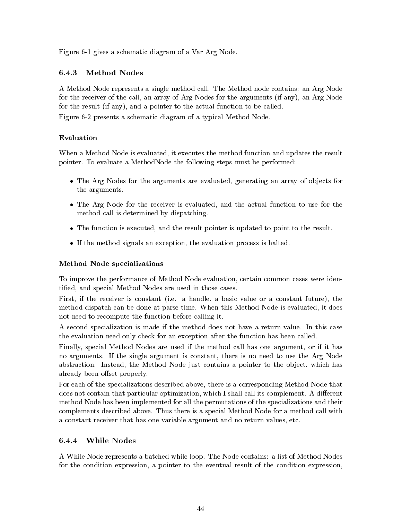Figure 6-1 gives a schematic diagram of a Var Arg Node.

#### **Method Nodes** 6.4.3

A Method Node represents a single method call. The Method node contains: an Arg Node for the receiver of the call, an array of Arg Nodes for the arguments (if any), an Arg Node for the result (if any), and a pointer to the actual function to be called. Figure 6-2 presents a schematic diagram of a typical Method Node.

### Evaluation

When a Method Node is evaluated, it executes the method function and updates the result pointer. To evaluate a MethodNode the following steps must be performed:

- The Arg Nodes for the arguments are evaluated, generating an array of objects for the arguments.
- The Arg Node for the receiver is evaluated, and the actual function to use for the method call is determined by dispatching.
- The function is executed, and the result pointer is updated to point to the result.
- If the method signals an exception, the evaluation process is halted.

### Method Node specializations

To improve the performance of Method Node evaluation, certain common cases were identied, and special Method Nodes are used in those cases.

First, if the receiver is constant (i.e. a handle, a basic value or a constant future), the method dispatch can be done at parse time. When this Method Node is evaluated, it does not need to recompute the function before calling it.

A second specialization is made if the method does not have a return value. In this case the evaluation need only check for an exception after the function has been called.

Finally, special Method Nodes are used if the method call has one argument, or if it has no arguments. If the single argument is constant, there is no need to use the Arg Node abstraction. Instead, the Method Node just contains a pointer to the object, which has already been offset properly.

For each of the specializations described above, there is a corresponding Method Node that does not contain that particular optimization, which I shall call its complement. A different method Node has been implemented for all the permutations of the specializations and their complements described above. Thus there is a special Method Node for a method call with a constant receiver that has one variable argument and no return values, etc.

#### 6.4.4 **While Nodes**

A While Node represents a batched while loop. The Node contains: a list of Method Nodes for the condition expression, a pointer to the eventual result of the condition expression,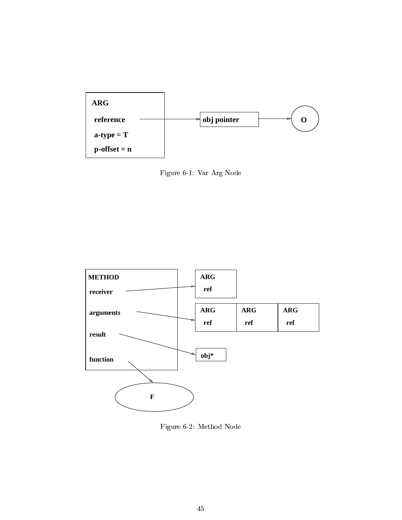

Figure 6-1: Var Arg Node



Figure 6-2: Method Node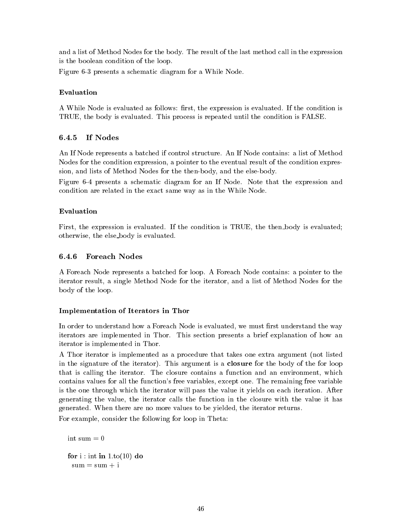and a list of Method Nodes for the body. The result of the last method call in the expression is the boolean condition of the loop.

Figure 6-3 presents a schematic diagram for a While Node.

### Evaluation

A While Node is evaluated as follows: first, the expression is evaluated. If the condition is TRUE, the body is evaluated. This process is repeated until the condition is FALSE.

### 6.4.5 If Nodes

An If Node represents a batched if control structure. An If Node contains: a list of Method Nodes for the condition expression, a pointer to the eventual result of the condition expression, and lists of Method Nodes for the then-body, and the else-body.

Figure 6-4 presents a schematic diagram for an If Node. Note that the expression and condition are related in the exact same way as in the While Node.

### Evaluation

First, the expression is evaluated. If the condition is TRUE, the then body is evaluated; otherwise, the else body is evaluated.

#### **Foreach Nodes** 6.4.6

A Foreach Node represents a batched for loop. A Foreach Node contains: a pointer to the iterator result, a single Method Node for the iterator, and a list of Method Nodes for the body of the loop.

### Implementation of Iterators in Thor

In order to understand how a Foreach Node is evaluated, we must first understand the way iterators are implemented in Thor. This section presents a brief explanation of how an iterator is implemented in Thor.

A Thor iterator is implemented as a procedure that takes one extra argument (not listed in the signature of the iterator). This argument is a closure for the body of the for loop that is calling the iterator. The closure contains a function and an environment, which contains values for all the function's free variables, except one. The remaining free variable is the one through which the iterator will pass the value it yields on each iteration. After generating the value, the iterator calls the function in the closure with the value it has generated. When there are no more values to be yielded, the iterator returns.

For example, consider the following for loop in Theta:

```
int sum = 0for i : \text{int in } 1 \cdot \text{to} (10) do
 sum = sum + i
```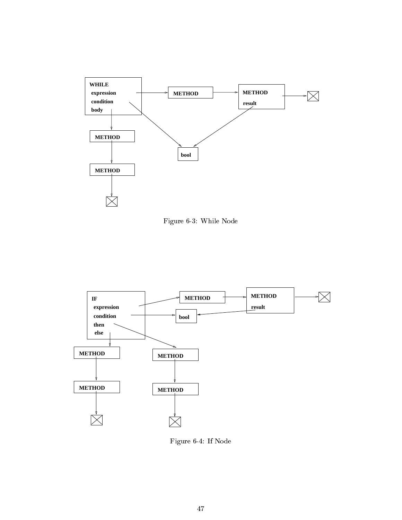

Figure 6-3: While Node



Figure 6-4: If Node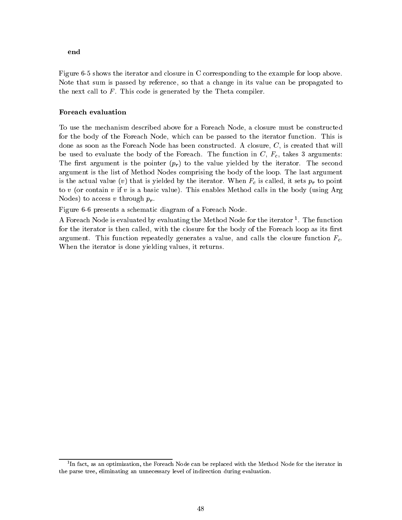### end

Figure 6-5 shows the iterator and closure in C corresponding to the example for loop above. Note that sum is passed by reference, so that a change in its value can be propagated to the next call to  $F$ . This code is generated by the Theta compiler.

### Foreach evaluation

To use the mechanism described above for a Foreach Node, a closure must be constructed for the body of the Foreach Node, which can be passed to the iterator function. This is done as soon as the Foreach Node has been constructed. A closure, C, is created that will be used to evaluate the body of the Foreach. The function in  $C, F_c$ , takes 3 arguments: The first argument is the pointer  $(p_r)$  to the value yielded by the iterator. The second argument is the list of Method Nodes comprising the body of the loop. The last argument is the actual value (v) that is yielded by the iterator. When  $F_c$  is called, it sets  $p_r$  to point to v (or contain v if v is a basic value). This enables Method calls in the body (using Arg Nodes) to access v through  $p_r$ .

Figure 6-6 presents a schematic diagram of a Foreach Node.

A Foreach Node is evaluated by evaluating the Method Node for the Iterator 1. The function for the iterator is then called, with the closure for the body of the Foreach loop as its first argument. This function repeatedly generates a value, and calls the closure function  $F_c$ . When the iterator is done yielding values, it returns.

<sup>1</sup> In fact, as an optimization, the Foreach Node can be replaced with the Method Node for the iterator in the parse tree, eliminating an unnecessary level of indirection during evaluation.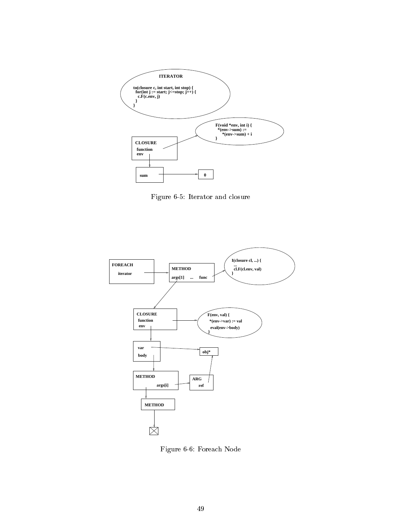

Figure 6-5: Iterator and closure



Figure 6-6: Foreach Node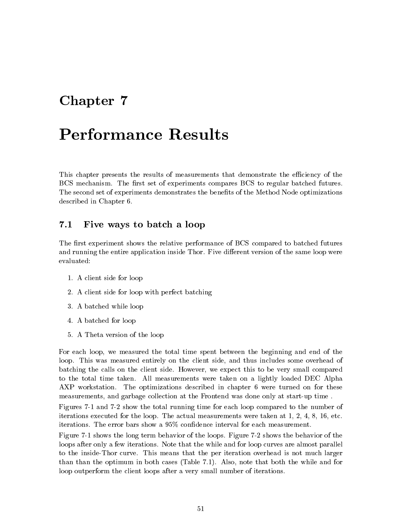# Chapter <sup>7</sup>

This chapter presents the results of measurements that demonstrate the efficiency of the BCS mechanism. The first set of experiments compares BCS to regular batched futures. The second set of experiments demonstrates the benefits of the Method Node optimizations described in Chapter 6.

#### $7.1$ Five ways to batch a loop

The first experiment shows the relative performance of BCS compared to batched futures and running the entire application inside Thor. Five different version of the same loop were evaluated:

- 1. A client side for loop
- 2. A client side for loop with perfect batching
- 3. A batched while loop
- 4. A batched for loop
- 5. A Theta version of the loop

For each loop, we measured the total time spent between the beginning and end of the loop. This was measured entirely on the client side, and thus includes some overhead of batching the calls on the client side. However, we expect this to be very small compared to the total time taken. All measurements were taken on a lightly loaded DEC Alpha AXP workstation. The optimizations described in chapter 6 were turned on for these measurements, and garbage collection at the Frontend was done only at start-up time .

Figures 7-1 and 7-2 show the total running time for each loop compared to the number of iterations executed for the loop. The actual measurements were taken at 1, 2, 4, 8, 16, etc. iterations. The error bars show a 95% condence interval for each measurement.

Figure 7-1 shows the long term behavior of the loops. Figure 7-2 shows the behavior of the loops after only a few iterations. Note that the while and for loop curves are almost parallel to the inside-Thor curve. This means that the per iteration overhead is not much larger than than the optimum in both cases (Table 7.1). Also, note that both the while and for loop outperform the client loops after a very small number of iterations.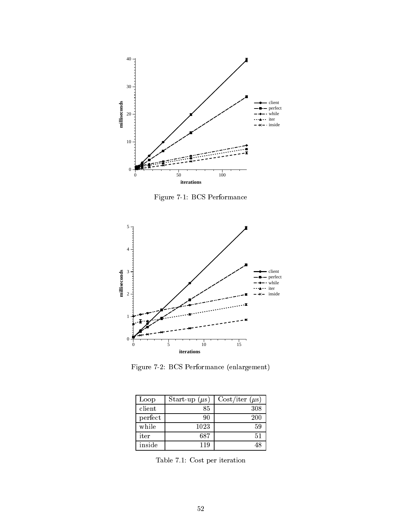

Figure 7-1: BCS Performance



Figure 7-2: BCS Performance (enlargement)

| Loop    | Start-up $(\mu s)$ | $Cost/iter (\mu s)$ |
|---------|--------------------|---------------------|
| client  | 85                 | 308                 |
| perfect | 90                 | 200                 |
| while   | 1023               | 59                  |
| iter    | 687                | 51                  |
| inside  | 119                | 48                  |

Table 7.1: Cost per iteration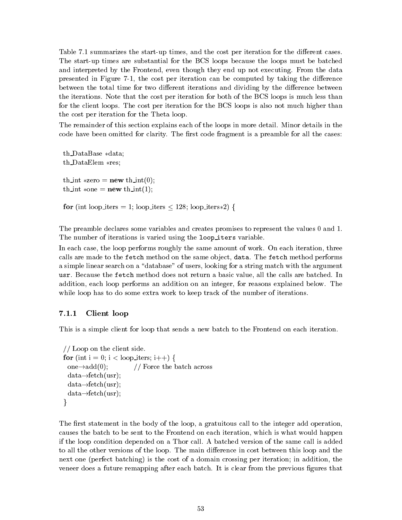Table 7.1 summarizes the start-up times, and the cost per iteration for the different cases. The start-up times are substantial for the BCS loops because the loops must be batched and interpreted by the Frontend, even though they end up not executing. From the data presented in Figure 7-1, the cost per iteration can be computed by taking the difference between the total time for two different iterations and dividing by the difference between the iterations. Note that the cost per iteration for both of the BCS loops is much less than for the client loops. The cost per iteration for the BCS loops is also not much higher than the cost per iteration for the Theta loop.

The remainder of this section explains each of the loops in more detail. Minor details in the code have been omitted for clarity. The first code fragment is a preamble for all the cases:

th\_DataBase \*data;  $th$ DataElem  $*res;$ th int  $*$ zero = **new** th int(0); th int  $\ast$ one = **new** th int(1); for (int loop iters = 1; loop iters  $\leq$  128; loop iters  $(2)$  {

The preamble declares some variables and creates promises to represent the values 0 and 1. The number of iterations is varied using the loop\_iters variable.

In each case, the loop performs roughly the same amount of work. On each iteration, three calls are made to the fetch method on the same object, data. The fetch method performs a simple linear search on a "database" of users, looking for a string match with the argument usr. Because the fetch method does not return a basic value, all the calls are batched. In addition, each loop performs an addition on an integer, for reasons explained below. The while loop has to do some extra work to keep track of the number of iterations.

### 7.1.1 Client loop

This is a simple client for loop that sends a new batch to the Frontend on each iteration.

```
// Loop on the client side.
for (int i = 0; i < loop iters; i++) {
 one\rightarrowadd(0); // Force the batch across
 data\rightarrowfetch(usr);
 data\rightarrowfetch(usr);
 data\rightarrowfetch(usr);
\}
```
The first statement in the body of the loop, a gratuitous call to the integer add operation, causes the batch to be sent to the Frontend on each iteration, which is what would happen if the loop condition depended on a Thor call. A batched version of the same call is added to all the other versions of the loop. The main difference in cost between this loop and the next one (perfect batching) is the cost of a domain crossing per iteration; in addition, the veneer does a future remapping after each batch. It is clear from the previous figures that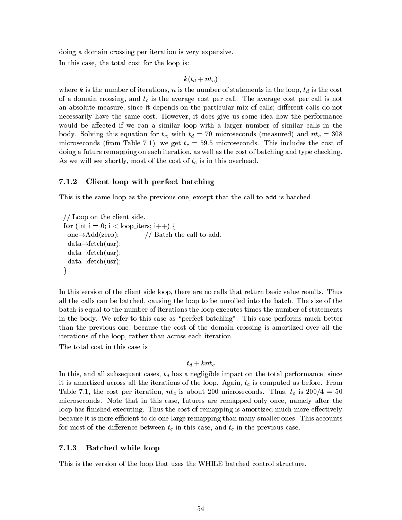doing a domain crossing per iteration is very expensive. In this case, the total cost for the loop is:

$$
k(t_d + n t_c)
$$

where k is the number of iterations, n is the number of statements in the loop,  $t_d$  is the cost of a domain crossing, and  $t_c$  is the average cost per call. The average cost per call is not an absolute measure, since it depends on the particular mix of calls; different calls do not necessarily have the same cost. However, it does give us some idea how the performance would be affected if we ran a similar loop with a larger number of similar calls in the body. Solving this equation for  $t_c$ , with  $t_d = 70$  microseconds (measured) and  $nt_c = 308$ microseconds (from Table 7.1), we get  $t_c = 59.5$  microseconds. This includes the cost of doing a future remapping on each iteration, as well as the cost of batching and type checking. As we will see shortly, most of the cost of  $t_c$  is in this overhead.

#### $7.1.2$ Client loop with perfect batching

This is the same loop as the previous one, except that the call to add is batched.

```
// Loop on the client side.
for (int i = 0; i < loop iters; i++) {
 one\rightarrowAdd(zero); // Batch the call to add.
 data\rightarrowfetch(usr);
 data\rightarrow fetch(usr);data\rightarrowfetch(usr);
\}
```
In this version of the client side loop, there are no calls that return basic value results. Thus all the calls can be batched, causing the loop to be unrolled into the batch. The size of the batch is equal to the number of iterations the loop executes times the number of statements in the body. We refer to this case as "perfect batching". This case performs much better than the previous one, because the cost of the domain crossing is amortized over all the iterations of the loop, rather than across each iteration.

The total cost in this case is:

### $t_d + knt_c$

In this, and all subsequent cases,  $t_d$  has a negligible impact on the total performance, since it is amortized across all the iterations of the loop. Again,  $t_c$  is computed as before. From Table 7.1, the cost per iteration,  $nt_c$  is about 200 microseconds. Thus,  $t_c$  is  $200/4 = 50$ microseconds. Note that in this case, futures are remapped only once, namely after the loop has finished executing. Thus the cost of remapping is amortized much more effectively because it is more efficient to do one large remapping than many smaller ones. This accounts for most of the difference between  $t_c$  in this case, and  $t_c$  in the previous case.

### 7.1.3 Batched while loop

This is the version of the loop that uses the WHILE batched control structure.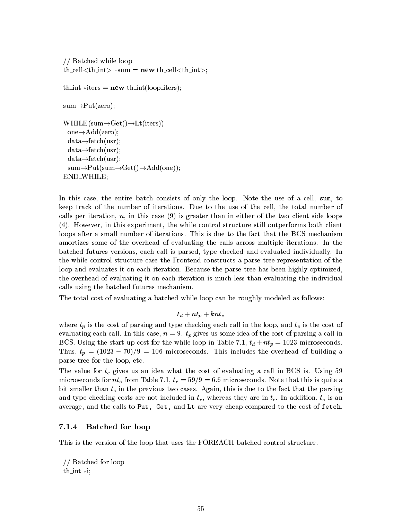```
// Batched while loop
th cell \langle \text{th-int} \rangle *sum = new th cell \langle \text{th-int} \rangle;
th int \text{*iters} = \textbf{new} th int(loop iters);
sum \rightarrow Put (zero);WHILE(sum \rightarrow Get() \rightarrow Lt(iters))one\rightarrowAdd(zero);
 data\rightarrowfetch(usr);
 data\rightarrowfetch(usr);
 data\rightarrowfetch(usr);
 sum \rightarrow Put(sum \rightarrow Get() \rightarrow Add(one));END_WHILE;
```
In this case, the entire batch consists of only the loop. Note the use of a cell, sum, to keep track of the number of iterations. Due to the use of the cell, the total number of calls per iteration,  $n$ , in this case (9) is greater than in either of the two client side loops (4). However, in this experiment, the while control structure still outperforms both client loops after a small number of iterations. This is due to the fact that the BCS mechanism amortizes some of the overhead of evaluating the calls across multiple iterations. In the batched futures versions, each call is parsed, type checked and evaluated individually. In the while control structure case the Frontend constructs a parse tree representation of the loop and evaluates it on each iteration. Because the parse tree has been highly optimized, the overhead of evaluating it on each iteration is much less than evaluating the individual calls using the batched futures mechanism.

The total cost of evaluating a batched while loop can be roughly modeled as follows:

$$
t_d + n t_p + k n t_e
$$

where  $t_p$  is the cost of parsing and type checking each call in the loop, and  $t_e$  is the cost of evaluating each call. In this case,  $n = 9$ .  $t_p$  gives us some idea of the cost of parsing a call in BCS. Using the start-up cost for the while loop in Table 7.1,  $t_d + nt_p = 1023$  microseconds. Thus,  $t_p = (1023 - 70)/9 = 106$  microseconds. This includes the overhead of building a parse tree for the loop, etc.

The value for  $t_e$  gives us an idea what the cost of evaluating a call in BCS is. Using 59 microseconds for  $n_t$  from Table 7.1,  $t_e = 59/9=6.6$  microseconds. Note that this is quite a bit smaller than  $t_c$  in the previous two cases. Again, this is due to the fact that the parsing and type checking costs are not included in  $t_e$ , whereas they are in  $t_c$ . In addition,  $t_e$  is an average, and the calls to Put, Get, and Lt are very cheap compared to the cost of fetch.

#### $7.1.4$ Batched for loop

This is the version of the loop that uses the FOREACH batched control structure.

// Batched for loop th int  $*$ i;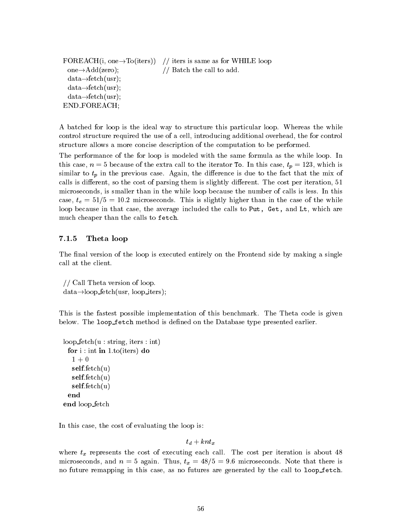```
FOREACH(i, one \rightarrow To(iters)) // iters is same as for WHILE loop
 one\rightarrowAdd(zero); // Batch the call to add.
 data\rightarrow fetch(usr);data\rightarrowfetch(usr);
 data\rightarrowfetch(usr);
END FOREACH;
```
A batched for loop is the ideal way to structure this particular loop. Whereas the while control structure required the use of a cell, introducing additional overhead, the for control structure allows a more concise description of the computation to be performed.

The performance of the for loop is modeled with the same formula as the while loop. In this case,  $n = 5$  because of the extra call to the iterator To. In this case,  $t_p = 123$ , which is similar to  $t_p$  in the previous case. Again, the difference is due to the fact that the mix of calls is different, so the cost of parsing them is slightly different. The cost per iteration, 51 microseconds, is smaller than in the while loop because the number of calls is less. In this case,  $t_e = 51/5 = 10.2$  microseconds. This is slightly higher than in the case of the while loop because in that case, the average included the calls to Put, Get, and Lt, which are much cheaper than the calls to fetch.

### 7.1.5 Theta loop

The final version of the loop is executed entirely on the Frontend side by making a single call at the client.

// Call Theta version of loop.  $data \rightarrow loop\_fetch(usr, loop\_iters);$ 

This is the fastest possible implementation of this benchmark. The Theta code is given below. The loop fetch method is defined on the Database type presented earlier.

```
loop fetch(u : string, iters : int)
 for i : \text{int in 1.to}(iters) do
   1+0self.fetch(u)
  self.fetch(u)
  self.fetch(u)
 end
end loop fetch
```
In this case, the cost of evaluating the loop is:

### $t_d + knt_x$

where  $t_x$  represents the cost of executing each call. The cost per iteration is about 48 microseconds, and  $n = 5$  again. Thus,  $t_x = 48/5 = 9.6$  microseconds. Note that there is no future remapping in this case, as no futures are generated by the call to loop fetch.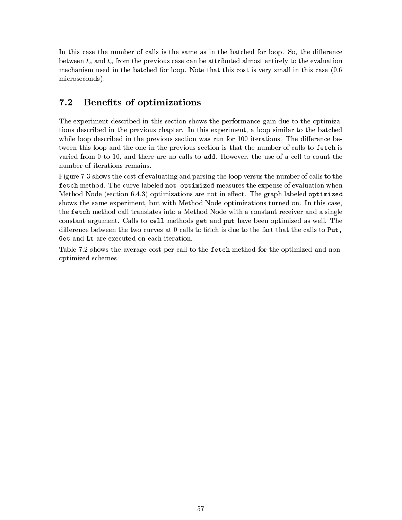In this case the number of calls is the same as in the batched for loop. So, the difference between  $t_x$  and  $t_e$  from the previous case can be attributed almost entirely to the evaluation mechanism used in the batched for loop. Note that this cost is very small in this case (0:6 microseconds).

#### $7.2$ Benefits of optimizations

The experiment described in this section shows the performance gain due to the optimizations described in the previous chapter. In this experiment, a loop similar to the batched while loop described in the previous section was run for 100 iterations. The difference between this loop and the one in the previous section is that the number of calls to fetch is varied from 0 to 10, and there are no calls to add. However, the use of a cell to count the number of iterations remains.

Figure 7-3 shows the cost of evaluating and parsing the loop versus the number of calls to the fetch method. The curve labeled not optimized measures the expense of evaluation when Method Node (section  $6.4.3$ ) optimizations are not in effect. The graph labeled optimized shows the same experiment, but with Method Node optimizations turned on. In this case, the fetch method call translates into a Method Node with a constant receiver and a single constant argument. Calls to cell methods get and put have been optimized as well. The difference between the two curves at 0 calls to fetch is due to the fact that the calls to Put, Get and Lt are executed on each iteration.

Table 7.2 shows the average cost per call to the fetch method for the optimized and nonoptimized schemes.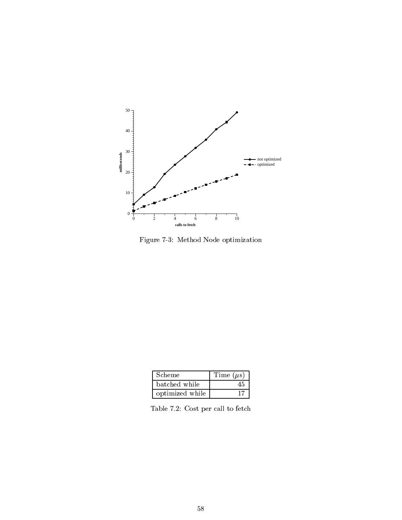

Figure 7-3: Method Node optimization

| Scheme          | Time $(\mu s)$ |
|-----------------|----------------|
| batched while   |                |
| optimized while |                |

Table 7.2: Cost per call to fetch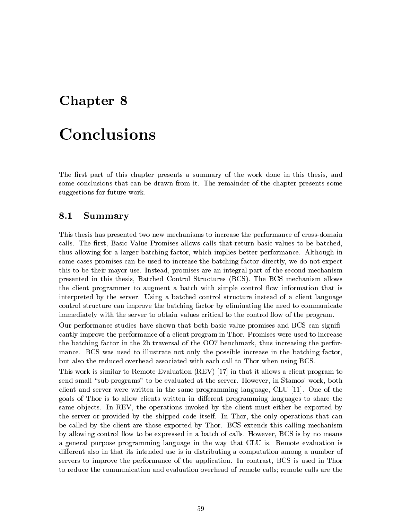# Chapter <sup>8</sup>

# Conclusions

The first part of this chapter presents a summary of the work done in this thesis, and some conclusions that can be drawn from it. The remainder of the chapter presents some suggestions for future work.

### 8.1 Summary

This thesis has presented two new mechanisms to increase the performance of cross-domain calls. The first, Basic Value Promises allows calls that return basic values to be batched, thus allowing for a larger batching factor, which implies better performance. Although in some cases promises can be used to increase the batching factor directly, we do not expect this to be their mayor use. Instead, promises are an integral part of the second mechanism presented in this thesis, Batched Control Structures (BCS). The BCS mechanism allows the client programmer to augment a batch with simple control flow information that is interpreted by the server. Using a batched control structure instead of a client language control structure can improve the batching factor by eliminating the need to communicate immediately with the server to obtain values critical to the control flow of the program.

Our performance studies have shown that both basic value promises and BCS can signi cantly improve the performance of a client program in Thor. Promises were used to increase the batching factor in the 2b traversal of the OO7 benchmark, thus increasing the performance. BCS was used to illustrate not only the possible increase in the batching factor, but also the reduced overhead associated with each call to Thor when using BCS.

This work is similar to Remote Evaluation (REV) [17] in that it allows a client program to send small "sub-programs" to be evaluated at the server. However, in Stamos' work, both client and server were written in the same programming language, CLU [11]. One of the goals of Thor is to allow clients written in different programming languages to share the same objects. In REV, the operations invoked by the client must either be exported by the server or provided by the shipped code itself. In Thor, the only operations that can be called by the client are those exported by Thor. BCS extends this calling mechanism by allowing control flow to be expressed in a batch of calls. However, BCS is by no means a general purpose programming language in the way that CLU is. Remote evaluation is different also in that its intended use is in distributing a computation among a number of servers to improve the performance of the application. In contrast, BCS is used in Thor to reduce the communication and evaluation overhead of remote calls; remote calls are the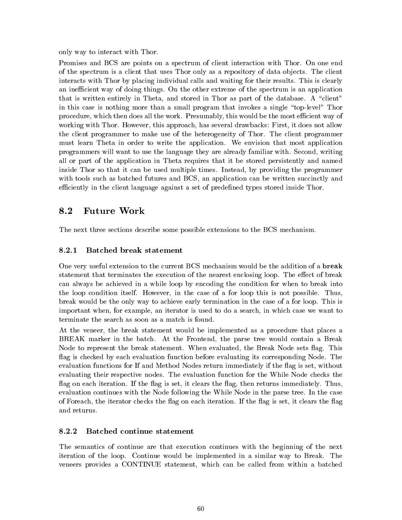only way to interact with Thor.

Promises and BCS are points on a spectrum of client interaction with Thor. On one end of the spectrum is a client that uses Thor only as a repository of data objects. The client interacts with Thor by placing individual calls and waiting for their results. This is clearly an inefficient way of doing things. On the other extreme of the spectrum is an application that is written entirely in Theta, and stored in Thor as part of the database. A "client" in this case is nothing more than a small program that invokes a single \top-level" Thor procedure, which then does all the work. Presumably, this would be the most efficient way of working with Thor. However, this approach, has several drawbacks: First, it does not allow the client programmer to make use of the heterogeneity of Thor. The client programmer must learn Theta in order to write the application. We envision that most application programmers will want to use the language they are already familiar with. Second, writing all or part of the application in Theta requires that it be stored persistently and named inside Thor so that it can be used multiple times. Instead, by providing the programmer with tools such as batched futures and BCS, an application can be written succinctly and efficiently in the client language against a set of predefined types stored inside Thor.

### 8.2 Future Work

The next three sections describe some possible extensions to the BCS mechanism.

### 8.2.1 Batched break statement

One very useful extension to the current BCS mechanism would be the addition of a **break** statement that terminates the execution of the nearest enclosing loop. The effect of break can always be achieved in a while loop by encoding the condition for when to break into the loop condition itself. However, in the case of a for loop this is not possible. Thus, break would be the only way to achieve early termination in the case of a for loop. This is important when, for example, an iterator is used to do a search, in which case we want to terminate the search as soon as a match is found.

At the veneer, the break statement would be implemented as a procedure that places a BREAK marker in the batch. At the Frontend, the parse tree would contain a Break Node to represent the break statement. When evaluated, the Break Node sets flag. This flag is checked by each evaluation function before evaluating its corresponding Node. The evaluation functions for If and Method Nodes return immediately if the 
ag is set, without evaluating their respective nodes. The evaluation function for the While Node checks the flag on each iteration. If the flag is set, it clears the flag, then returns immediately. Thus, evaluation continues with the Node following the While Node in the parse tree. In the case of Foreach, the iterator checks the flag on each iteration. If the flag is set, it clears the flag and returns.

### 8.2.2 Batched continue statement

The semantics of continue are that execution continues with the beginning of the next iteration of the loop. Continue would be implemented in a similar way to Break. The veneers provides a CONTINUE statement, which can be called from within a batched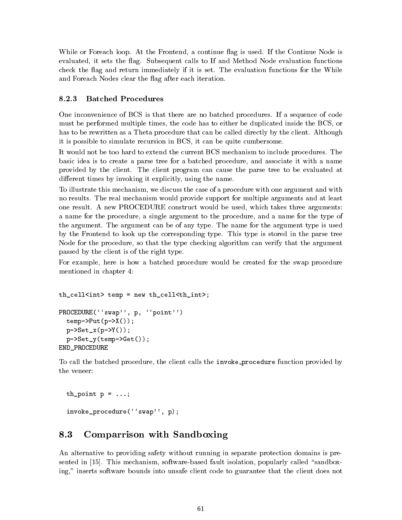While or Foreach loop. At the Frontend, a continue flag is used. If the Continue Node is evaluated, it sets the flag. Subsequent calls to If and Method Node evaluation functions check the flag and return immediately if it is set. The evaluation functions for the While and Foreach Nodes clear the flag after each iteration.

#### 8.2.3 **Batched Procedures**

One inconvenience of BCS is that there are no batched procedures. If a sequence of code must be performed multiple times, the code has to either be duplicated inside the BCS, or has to be rewritten as a Theta procedure that can be called directly by the client. Although it is possible to simulate recursion in BCS, it can be quite cumbersome.

It would not be too hard to extend the current BCS mechanism to include procedures. The basic idea is to create a parse tree for a batched procedure, and associate it with a name provided by the client. The client program can cause the parse tree to be evaluated at different times by invoking it explicitly, using the name.

To illustrate this mechanism, we discuss the case of a procedure with one argument and with no results. The real mechanism would provide support for multiple arguments and at least one result. A new PROCEDURE construct would be used, which takes three arguments: a name for the procedure, a single argument to the procedure, and a name for the type of the argument. The argument can be of any type. The name for the argument type is used by the Frontend to look up the corresponding type. This type is stored in the parse tree Node for the procedure, so that the type checking algorithm can verify that the argument passed by the client is of the right type.

For example, here is how a batched procedure would be created for the swap procedure mentioned in chapter 4:

```
th_cell<int> temp = new th_cell<th_int>;
PROCEDURE(''swap'', p, ''point'')
  temp->Put(p->X());
  p->Set_x(p->Y());
  p->Set_y(temp->Get());
END_PROCEDURE
```
To call the batched procedure, the client calls the invoke procedure function provided by the veneer:

```
th_point p = ...;invoke_procedure(''swap'', p);
```
### 8.3 Comparrison with Sandboxing

An alternative to providing safety without running in separate protection domains is presented in  $[15]$ . This mechanism, software-based fault isolation, popularly called "sandboxing," inserts software bounds into unsafe client code to guarantee that the client does not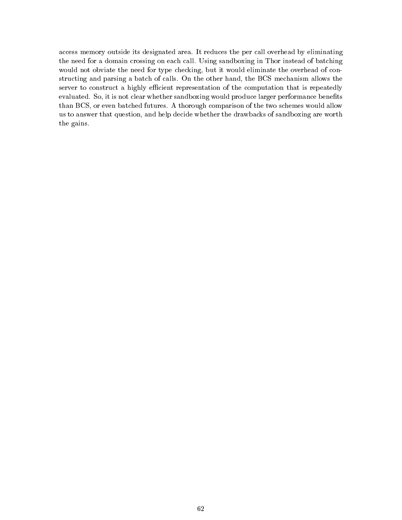access memory outside its designated area. It reduces the per call overhead by eliminating the need for a domain crossing on each call. Using sandboxing in Thor instead of batching would not obviate the need for type checking, but it would eliminate the overhead of constructing and parsing a batch of calls. On the other hand, the BCS mechanism allows the server to construct a highly efficient representation of the computation that is repeatedly evaluated. So, it is not clear whether sandboxing would produce larger performance benefits than BCS, or even batched futures. A thorough comparison of the two schemes would allow us to answer that question, and help decide whether the drawbacks of sandboxing are worth the gains.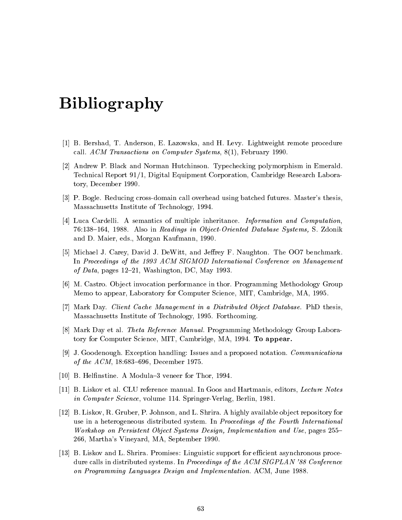# Bibliography

- [1] B. Bershad, T. Anderson, E. Lazowska, and H. Levy. Lightweight remote procedure call. ACM Transactions on Computer Systems, 8(1), February 1990.
- [2] Andrew P. Black and Norman Hutchinson. Typechecking polymorphism in Emerald. Technical Report 91/1, Digital Equipment Corporation, Cambridge Research Laboratory, December 1990.
- [3] P. Bogle. Reducing cross-domain call overhead using batched futures. Master's thesis, Massachusetts Institute of Technology, 1994.
- [4] Luca Cardelli. A semantics of multiple inheritance. Information and Computation, 76:138-164, 1988. Also in Readings in Object-Oriented Database Systems, S. Zdonik and D. Maier, eds., Morgan Kaufmann, 1990.
- [5] Michael J. Carey, David J. DeWitt, and Jeffrey F. Naughton. The OO7 benchmark. In Proceedings of the 1993 ACM SIGMOD International Conference on Management of Data, pages  $12-21$ , Washington, DC, May 1993.
- [6] M. Castro. Object invocation performance in thor. Programming Methodology Group Memo to appear, Laboratory for Computer Science, MIT, Cambridge, MA, 1995.
- [7] Mark Day. Client Cache Management in a Distributed Object Database. PhD thesis, Massachusetts Institute of Technology, 1995. Forthcoming.
- [8] Mark Day et al. Theta Reference Manual. Programming Methodology Group Laboratory for Computer Science, MIT, Cambridge, MA, 1994. To appear.
- [9] J. Goodenough. Exception handling: Issues and a proposed notation. Communications of the  $ACM$ , 18:683-696, December 1975.
- [10] B. Helfinstine. A Modula-3 veneer for Thor, 1994.
- [11] B. Liskov et al. CLU reference manual. In Goos and Hartmanis, editors, Lecture Notes in Computer Science, volume 114. Springer-Verlag, Berlin, 1981.
- [12] B. Liskov, R. Gruber, P. Johnson, and L. Shrira. A highly available ob ject repository for use in a heterogeneous distributed system. In Proceedings of the Fourth International Workshop on Persistent Object Systems Design, Implementation and Use, pages 255– 266, Martha's Vineyard, MA, September 1990.
- [13] B. Liskov and L. Shrira. Promises: Linguistic support for efficient asynchronous procedure calls in distributed systems. In Proceedings of the ACM SIGPLAN '88 Conference on Programming Languages Design and Implementation. ACM, June 1988.